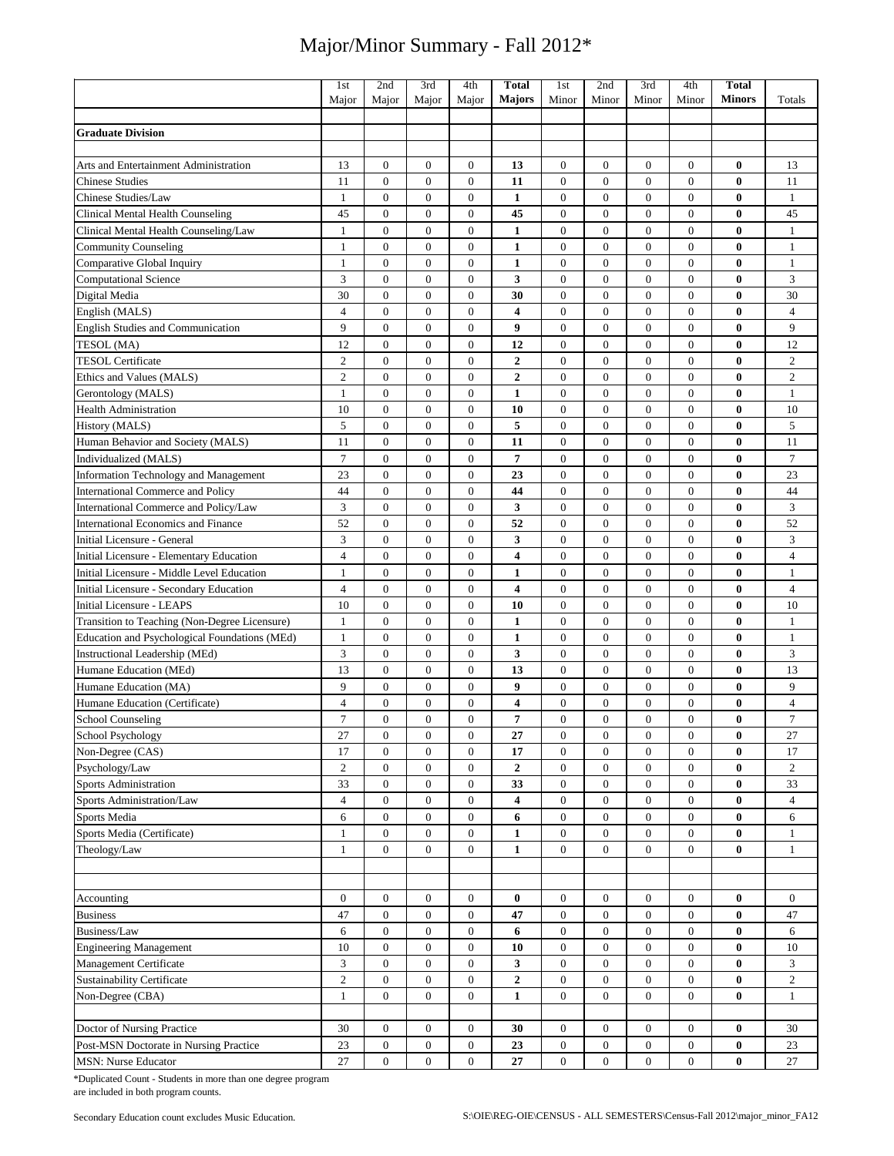|                                                    | 1st                              | 2nd                          | 3rd                            | 4th                                  | <b>Total</b>                       | 1st                          | 2nd                                | 3rd                            | 4th                                  | <b>Total</b>         |                                  |
|----------------------------------------------------|----------------------------------|------------------------------|--------------------------------|--------------------------------------|------------------------------------|------------------------------|------------------------------------|--------------------------------|--------------------------------------|----------------------|----------------------------------|
|                                                    | Major                            | Major                        | Major                          | Major                                | <b>Majors</b>                      | Minor                        | Minor                              | Minor                          | Minor                                | <b>Minors</b>        | Totals                           |
|                                                    |                                  |                              |                                |                                      |                                    |                              |                                    |                                |                                      |                      |                                  |
| <b>Graduate Division</b>                           |                                  |                              |                                |                                      |                                    |                              |                                    |                                |                                      |                      |                                  |
|                                                    |                                  |                              |                                |                                      |                                    |                              |                                    |                                |                                      |                      |                                  |
| Arts and Entertainment Administration              | 13                               | $\boldsymbol{0}$             | $\mathbf{0}$                   | 0                                    | 13                                 | $\overline{0}$               | $\mathbf{0}$                       | $\overline{0}$                 | $\boldsymbol{0}$                     | 0                    | 13                               |
| <b>Chinese Studies</b>                             | 11                               | $\mathbf{0}$                 | $\mathbf{0}$                   | $\mathbf{0}$                         | 11                                 | $\mathbf{0}$                 | $\mathbf{0}$                       | $\overline{0}$                 | $\boldsymbol{0}$                     | $\bf{0}$             | 11                               |
| Chinese Studies/Law                                | $\mathbf{1}$                     | $\mathbf{0}$                 | $\overline{0}$                 | $\mathbf{0}$                         | $\mathbf{1}$                       | $\overline{0}$               | $\mathbf{0}$                       | $\overline{0}$                 | $\mathbf{0}$                         | $\bf{0}$             | $\mathbf{1}$                     |
| Clinical Mental Health Counseling                  | 45                               | $\mathbf{0}$                 | $\boldsymbol{0}$               | $\boldsymbol{0}$                     | 45                                 | $\boldsymbol{0}$             | $\mathbf{0}$                       | $\mathbf{0}$                   | $\boldsymbol{0}$                     | 0                    | 45                               |
| Clinical Mental Health Counseling/Law              | $\mathbf{1}$                     | $\mathbf{0}$                 | $\mathbf{0}$                   | $\boldsymbol{0}$                     | $\mathbf{1}$                       | $\overline{0}$               | $\mathbf{0}$                       | $\overline{0}$                 | $\boldsymbol{0}$                     | $\bf{0}$             | $\mathbf{1}$                     |
| <b>Community Counseling</b>                        | $\mathbf{1}$                     | $\mathbf{0}$                 | $\mathbf{0}$                   | $\boldsymbol{0}$                     | $\mathbf{1}$                       | $\mathbf{0}$                 | $\mathbf{0}$                       | $\overline{0}$                 | $\boldsymbol{0}$                     | 0                    | $\mathbf{1}$                     |
| Comparative Global Inquiry                         | 1                                | $\mathbf{0}$                 | $\mathbf{0}$<br>$\overline{0}$ | $\boldsymbol{0}$<br>$\overline{0}$   | 1<br>3                             | $\mathbf{0}$                 | $\boldsymbol{0}$<br>$\overline{0}$ | $\mathbf{0}$<br>$\overline{0}$ | $\boldsymbol{0}$<br>$\overline{0}$   | 0<br>$\bf{0}$        | $\mathbf{1}$<br>3                |
| <b>Computational Science</b>                       | 3<br>30                          | $\mathbf{0}$<br>$\mathbf{0}$ | $\overline{0}$                 | $\overline{0}$                       | 30                                 | $\mathbf{0}$<br>$\mathbf{0}$ | $\mathbf{0}$                       | $\overline{0}$                 | $\boldsymbol{0}$                     | $\bf{0}$             | 30                               |
| Digital Media                                      | $\overline{4}$                   | $\overline{0}$               | $\overline{0}$                 | $\overline{0}$                       | $\overline{\bf 4}$                 | $\mathbf{0}$                 | $\overline{0}$                     | $\overline{0}$                 | $\overline{0}$                       | $\bf{0}$             | $\overline{4}$                   |
| English (MALS)                                     |                                  |                              |                                |                                      |                                    |                              |                                    |                                |                                      |                      | 9                                |
| <b>English Studies and Communication</b>           | 9                                | $\boldsymbol{0}$             | $\boldsymbol{0}$               | $\boldsymbol{0}$                     | 9                                  | $\mathbf{0}$                 | $\boldsymbol{0}$                   | $\boldsymbol{0}$               | $\boldsymbol{0}$                     | $\bf{0}$             |                                  |
| TESOL (MA)<br><b>TESOL Certificate</b>             | 12                               | $\mathbf{0}$<br>$\mathbf{0}$ | $\mathbf{0}$<br>$\mathbf{0}$   | $\boldsymbol{0}$<br>$\boldsymbol{0}$ | 12                                 | $\mathbf{0}$<br>$\mathbf{0}$ | $\mathbf{0}$<br>$\mathbf{0}$       | $\mathbf{0}$<br>$\mathbf{0}$   | $\boldsymbol{0}$<br>$\boldsymbol{0}$ | $\bf{0}$<br>$\bf{0}$ | 12                               |
|                                                    | $\overline{c}$<br>$\overline{c}$ | $\boldsymbol{0}$             | $\mathbf{0}$                   | $\boldsymbol{0}$                     | $\boldsymbol{2}$<br>$\overline{2}$ | $\mathbf{0}$                 | $\boldsymbol{0}$                   | $\overline{0}$                 | $\boldsymbol{0}$                     | 0                    | $\overline{c}$<br>$\overline{c}$ |
| Ethics and Values (MALS)                           | $\mathbf{1}$                     | $\mathbf{0}$                 | $\mathbf{0}$                   | $\overline{0}$                       | $\mathbf{1}$                       | $\mathbf{0}$                 | $\mathbf{0}$                       | $\mathbf{0}$                   | $\boldsymbol{0}$                     | $\bf{0}$             | $\mathbf{1}$                     |
| Gerontology (MALS)<br><b>Health Administration</b> | 10                               | $\mathbf{0}$                 | $\overline{0}$                 | $\overline{0}$                       | 10                                 | $\mathbf{0}$                 | $\overline{0}$                     | $\overline{0}$                 | $\boldsymbol{0}$                     | $\bf{0}$             | 10                               |
| History (MALS)                                     | 5                                | $\mathbf{0}$                 | $\overline{0}$                 | $\mathbf{0}$                         | 5                                  | $\overline{0}$               | $\overline{0}$                     | $\overline{0}$                 | $\overline{0}$                       | $\bf{0}$             | 5                                |
| Human Behavior and Society (MALS)                  | 11                               | $\boldsymbol{0}$             | $\boldsymbol{0}$               | $\boldsymbol{0}$                     | 11                                 | $\mathbf{0}$                 | $\mathbf{0}$                       | $\boldsymbol{0}$               | $\boldsymbol{0}$                     | $\bf{0}$             | 11                               |
| Individualized (MALS)                              | $\tau$                           | $\mathbf{0}$                 | $\mathbf{0}$                   | $\boldsymbol{0}$                     | $\overline{7}$                     | $\overline{0}$               | $\mathbf{0}$                       | $\mathbf{0}$                   | $\boldsymbol{0}$                     | $\bf{0}$             | $\overline{7}$                   |
| <b>Information Technology and Management</b>       | 23                               | $\mathbf{0}$                 | $\mathbf{0}$                   | 0                                    | 23                                 | $\mathbf{0}$                 | $\mathbf{0}$                       | $\boldsymbol{0}$               | $\boldsymbol{0}$                     | $\bf{0}$             | 23                               |
| <b>International Commerce and Policy</b>           | 44                               | $\mathbf{0}$                 | $\mathbf{0}$                   | $\boldsymbol{0}$                     | 44                                 | $\mathbf{0}$                 | $\mathbf{0}$                       | $\overline{0}$                 | $\boldsymbol{0}$                     | $\bf{0}$             | 44                               |
| International Commerce and Policy/Law              | 3                                | $\mathbf{0}$                 | $\overline{0}$                 | $\mathbf{0}$                         | 3                                  | $\mathbf{0}$                 | $\mathbf{0}$                       | $\overline{0}$                 | $\boldsymbol{0}$                     | $\bf{0}$             | $\mathfrak{Z}$                   |
| International Economics and Finance                | 52                               | $\mathbf{0}$                 | $\overline{0}$                 | $\overline{0}$                       | 52                                 | $\overline{0}$               | $\overline{0}$                     | $\overline{0}$                 | $\boldsymbol{0}$                     | $\bf{0}$             | 52                               |
| Initial Licensure - General                        | 3                                | $\mathbf{0}$                 | $\overline{0}$                 | $\overline{0}$                       | 3                                  | $\overline{0}$               | $\overline{0}$                     | $\overline{0}$                 | $\boldsymbol{0}$                     | $\bf{0}$             | $\mathfrak{Z}$                   |
| Initial Licensure - Elementary Education           | $\overline{4}$                   | $\boldsymbol{0}$             | $\overline{0}$                 | $\boldsymbol{0}$                     | $\overline{\bf 4}$                 | $\boldsymbol{0}$             | $\boldsymbol{0}$                   | $\overline{0}$                 | $\boldsymbol{0}$                     | $\bf{0}$             | $\overline{4}$                   |
| Initial Licensure - Middle Level Education         | $\mathbf{1}$                     | $\mathbf{0}$                 | $\boldsymbol{0}$               | $\boldsymbol{0}$                     | $\mathbf{1}$                       | $\mathbf{0}$                 | $\mathbf{0}$                       | $\mathbf{0}$                   | $\boldsymbol{0}$                     | $\bf{0}$             | $\mathbf{1}$                     |
| Initial Licensure - Secondary Education            | $\overline{4}$                   | $\mathbf{0}$                 | $\mathbf{0}$                   | $\boldsymbol{0}$                     | 4                                  | $\mathbf{0}$                 | $\mathbf{0}$                       | $\overline{0}$                 | $\boldsymbol{0}$                     | $\bf{0}$             | $\overline{4}$                   |
| <b>Initial Licensure - LEAPS</b>                   | 10                               | $\mathbf{0}$                 | $\overline{0}$                 | $\overline{0}$                       | 10                                 | $\mathbf{0}$                 | $\mathbf{0}$                       | $\overline{0}$                 | $\overline{0}$                       | $\bf{0}$             | 10                               |
| Transition to Teaching (Non-Degree Licensure)      | $\mathbf{1}$                     | $\boldsymbol{0}$             | $\boldsymbol{0}$               | $\boldsymbol{0}$                     | $\mathbf{1}$                       | $\mathbf{0}$                 | $\mathbf{0}$                       | $\overline{0}$                 | $\boldsymbol{0}$                     | $\bf{0}$             | $\mathbf{1}$                     |
| Education and Psychological Foundations (MEd)      | $\mathbf{1}$                     | $\boldsymbol{0}$             | $\overline{0}$                 | $\overline{0}$                       | $\mathbf{1}$                       | $\mathbf{0}$                 | $\overline{0}$                     | $\overline{0}$                 | $\mathbf{0}$                         | $\bf{0}$             | $\mathbf{1}$                     |
| Instructional Leadership (MEd)                     | 3                                | $\mathbf{0}$                 | $\mathbf{0}$                   | $\mathbf{0}$                         | 3                                  | $\overline{0}$               | $\mathbf{0}$                       | $\overline{0}$                 | $\overline{0}$                       | 0                    | 3                                |
| Humane Education (MEd)                             | 13                               | $\mathbf{0}$                 | $\mathbf{0}$                   | $\boldsymbol{0}$                     | 13                                 | $\boldsymbol{0}$             | $\mathbf{0}$                       | $\mathbf{0}$                   | $\boldsymbol{0}$                     | 0                    | 13                               |
| Humane Education (MA)                              | 9                                | $\mathbf{0}$                 | $\boldsymbol{0}$               | $\boldsymbol{0}$                     | 9                                  | $\mathbf{0}$                 | $\mathbf{0}$                       | $\boldsymbol{0}$               | $\boldsymbol{0}$                     | $\bf{0}$             | 9                                |
| Humane Education (Certificate)                     | $\overline{4}$                   | $\mathbf{0}$                 | $\mathbf{0}$                   | $\boldsymbol{0}$                     | 4                                  | $\overline{0}$               | $\mathbf{0}$                       | $\mathbf{0}$                   | $\boldsymbol{0}$                     | $\bf{0}$             | $\overline{4}$                   |
| School Counseling                                  | $\overline{7}$                   | $\mathbf{0}$                 | $\mathbf{0}$                   | $\overline{0}$                       | 7                                  | $\mathbf{0}$                 | $\mathbf{0}$                       | $\theta$                       | $\overline{0}$                       | 0                    | $\tau$                           |
| School Psychology                                  | 27                               | $\bf{0}$                     | $\theta$                       | $\bf{0}$                             | 27                                 | $\theta$                     | $\theta$                           | $\theta$                       | $\bf{0}$                             | $\bf{0}$             | 27                               |
| Non-Degree (CAS)                                   | 17                               | $\mathbf{0}$                 | $\mathbf{0}$                   | $\mathbf{0}$                         | 17                                 | $\overline{0}$               | $\mathbf{0}$                       | $\overline{0}$                 | $\overline{0}$                       | $\bf{0}$             | 17                               |
| Psychology/Law                                     | $\overline{2}$                   | $\boldsymbol{0}$             | $\mathbf{0}$                   | $\mathbf{0}$                         | $\boldsymbol{2}$                   | $\mathbf{0}$                 | $\boldsymbol{0}$                   | $\boldsymbol{0}$               | $\boldsymbol{0}$                     | 0                    | $\overline{c}$                   |
| <b>Sports Administration</b>                       | 33                               | $\boldsymbol{0}$             | $\boldsymbol{0}$               | $\boldsymbol{0}$                     | 33                                 | $\mathbf{0}$                 | $\boldsymbol{0}$                   | $\boldsymbol{0}$               | $\boldsymbol{0}$                     | $\bf{0}$             | 33                               |
| Sports Administration/Law                          | $\overline{4}$                   | $\boldsymbol{0}$             | $\boldsymbol{0}$               | $\boldsymbol{0}$                     | 4                                  | $\mathbf{0}$                 | $\mathbf{0}$                       | $\boldsymbol{0}$               | $\boldsymbol{0}$                     | $\bf{0}$             | $\overline{4}$                   |
| Sports Media                                       | 6                                | $\boldsymbol{0}$             | $\mathbf{0}$                   | $\overline{0}$                       | 6                                  | $\mathbf{0}$                 | $\boldsymbol{0}$                   | $\boldsymbol{0}$               | $\boldsymbol{0}$                     | $\bf{0}$             | 6                                |
| Sports Media (Certificate)                         | $\mathbf{1}$                     | $\boldsymbol{0}$             | $\mathbf{0}$                   | $\boldsymbol{0}$                     | $\mathbf{1}$                       | $\mathbf{0}$                 | $\mathbf{0}$                       | $\boldsymbol{0}$               | $\boldsymbol{0}$                     | $\bf{0}$             | $\mathbf{1}$                     |
| Theology/Law                                       | $\mathbf{1}$                     | $\boldsymbol{0}$             | $\overline{0}$                 | $\mathbf{0}$                         | $\mathbf{1}$                       | $\mathbf{0}$                 | $\mathbf{0}$                       | $\mathbf{0}$                   | $\mathbf{0}$                         | $\bf{0}$             | $\mathbf{1}$                     |
|                                                    |                                  |                              |                                |                                      |                                    |                              |                                    |                                |                                      |                      |                                  |
|                                                    |                                  |                              |                                |                                      |                                    |                              |                                    |                                |                                      |                      |                                  |
| Accounting                                         | $\bf{0}$                         | $\boldsymbol{0}$             | $\boldsymbol{0}$               | $\boldsymbol{0}$                     | $\bf{0}$                           | $\mathbf{0}$                 | $\boldsymbol{0}$                   | $\boldsymbol{0}$               | $\mathbf{0}$                         | $\bf{0}$             | $\boldsymbol{0}$                 |
| <b>Business</b>                                    | 47                               | $\boldsymbol{0}$             | $\mathbf{0}$                   | $\boldsymbol{0}$                     | 47                                 | $\bf{0}$                     | $\boldsymbol{0}$                   | $\boldsymbol{0}$               | $\boldsymbol{0}$                     | $\bf{0}$             | 47                               |
| Business/Law                                       | 6                                | $\boldsymbol{0}$             | $\mathbf{0}$                   | $\overline{0}$                       | 6                                  | $\mathbf{0}$                 | $\boldsymbol{0}$                   | $\boldsymbol{0}$               | $\boldsymbol{0}$                     | $\bf{0}$             | 6                                |
| <b>Engineering Management</b>                      | 10                               | $\boldsymbol{0}$             | $\mathbf{0}$                   | 0                                    | 10                                 | $\bf{0}$                     | $\boldsymbol{0}$                   | $\boldsymbol{0}$               | $\boldsymbol{0}$                     | $\bf{0}$             | 10                               |
| Management Certificate                             | $\mathfrak{Z}$                   | $\boldsymbol{0}$             | $\mathbf{0}$                   | $\boldsymbol{0}$                     | 3                                  | $\mathbf{0}$                 | $\boldsymbol{0}$                   | $\boldsymbol{0}$               | $\boldsymbol{0}$                     | 0                    | 3                                |
| Sustainability Certificate                         | $\overline{c}$                   | $\boldsymbol{0}$             | $\overline{0}$                 | $\mathbf{0}$                         | $\overline{2}$                     | $\mathbf{0}$                 | $\boldsymbol{0}$                   | $\mathbf{0}$                   | $\mathbf{0}$                         | $\bf{0}$             | $\overline{c}$                   |
| Non-Degree (CBA)                                   | $\mathbf{1}$                     | $\boldsymbol{0}$             | $\overline{0}$                 | 0                                    | $\mathbf{1}$                       | $\boldsymbol{0}$             | $\overline{0}$                     | $\overline{0}$                 | $\boldsymbol{0}$                     | $\bf{0}$             | $\mathbf{1}$                     |
|                                                    |                                  |                              |                                |                                      |                                    |                              |                                    |                                |                                      |                      |                                  |
| Doctor of Nursing Practice                         | 30                               | $\boldsymbol{0}$             | $\boldsymbol{0}$               | $\boldsymbol{0}$                     | 30                                 | $\boldsymbol{0}$             | $\boldsymbol{0}$                   | $\boldsymbol{0}$               | $\boldsymbol{0}$                     | $\bf{0}$             | 30                               |
| Post-MSN Doctorate in Nursing Practice             | 23                               | $\boldsymbol{0}$             | $\mathbf{0}$                   | $\boldsymbol{0}$                     | 23                                 | $\boldsymbol{0}$             | $\boldsymbol{0}$                   | $\boldsymbol{0}$               | $\boldsymbol{0}$                     | $\bf{0}$             | 23                               |
| <b>MSN: Nurse Educator</b>                         | 27                               | $\boldsymbol{0}$             | $\mathbf{0}$                   | $\mathbf{0}$                         | 27                                 | $\mathbf{0}$                 | $\boldsymbol{0}$                   | $\mathbf{0}$                   | $\boldsymbol{0}$                     | $\bf{0}$             | 27                               |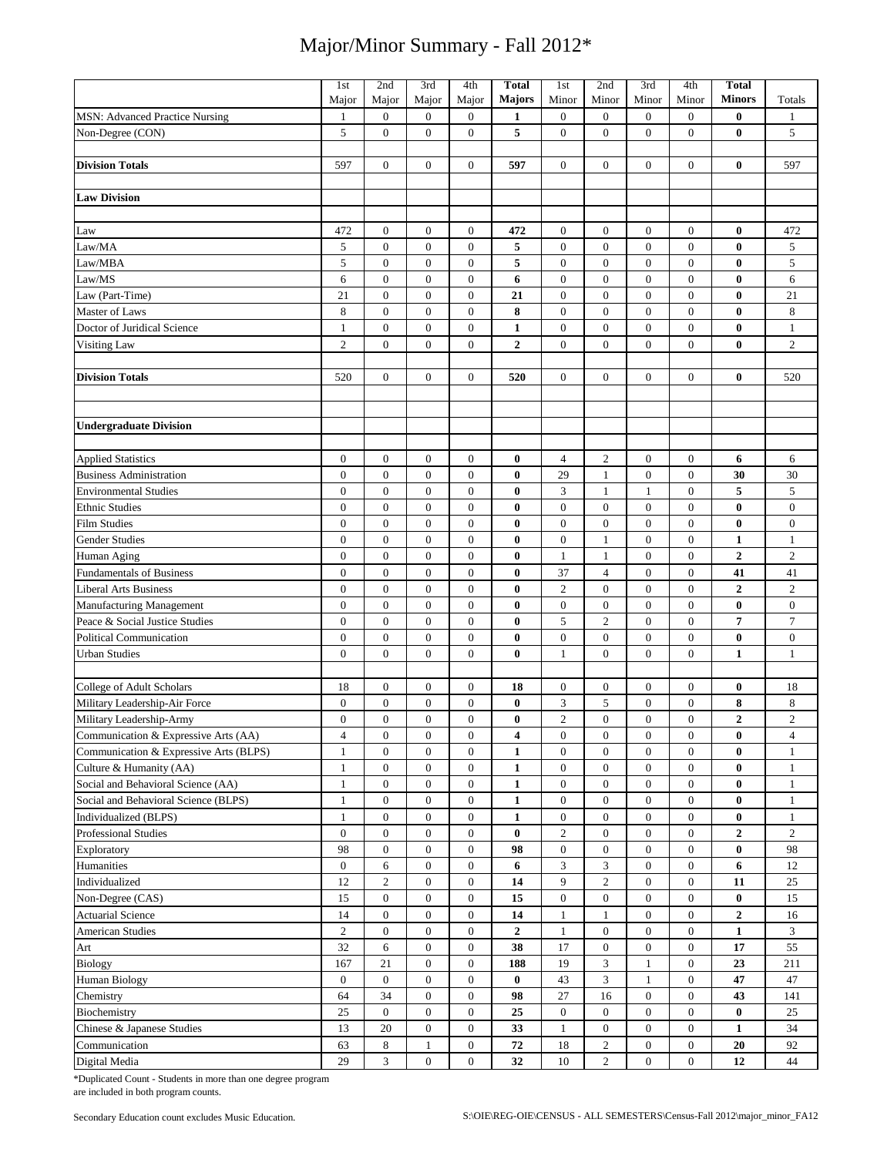| <b>MSN: Advanced Practice Nursing</b><br>$\mathbf{0}$<br>$\mathbf{0}$<br>$\mathbf{0}$<br>$\boldsymbol{0}$<br>$\boldsymbol{0}$<br>$\boldsymbol{0}$<br>$\overline{0}$<br>$\bf{0}$<br>1<br>1<br>1<br>5<br>5<br>$\boldsymbol{0}$<br>$\boldsymbol{0}$<br>$\mathbf{0}$<br>$\boldsymbol{0}$<br>$\boldsymbol{0}$<br>$\boldsymbol{0}$<br>$\boldsymbol{0}$<br>$\bf{0}$<br>5<br>Non-Degree (CON)<br>$\mathbf{0}$<br>$\mathbf{0}$<br>$\overline{0}$<br>597<br>$\overline{0}$<br>$\mathbf{0}$<br>$\mathbf{0}$<br>$\mathbf{0}$<br>597<br><b>Division Totals</b><br>597<br>$\bf{0}$<br><b>Law Division</b><br>472<br>$\boldsymbol{0}$<br>$\boldsymbol{0}$<br>$\mathbf{0}$<br>472<br>$\boldsymbol{0}$<br>$\boldsymbol{0}$<br>$\boldsymbol{0}$<br>$\boldsymbol{0}$<br>$\bf{0}$<br>472<br>Law<br>Law/MA<br>5<br>$\boldsymbol{0}$<br>$\boldsymbol{0}$<br>5<br>$\mathbf{0}$<br>$\mathbf{0}$<br>$\bf{0}$<br>$\sqrt{5}$<br>$\boldsymbol{0}$<br>$\boldsymbol{0}$<br>$\boldsymbol{0}$<br>5<br>5<br>5<br>$\overline{0}$<br>Law/MBA<br>$\mathbf{0}$<br>$\mathbf{0}$<br>$\mathbf{0}$<br>$\mathbf{0}$<br>$\mathbf{0}$<br>$\mathbf{0}$<br>$\bf{0}$<br>6<br>$\boldsymbol{0}$<br>6<br>Law/MS<br>$\boldsymbol{0}$<br>$\boldsymbol{0}$<br>$\mathbf{0}$<br>6<br>$\mathbf{0}$<br>$\boldsymbol{0}$<br>$\boldsymbol{0}$<br>$\bf{0}$<br>$\boldsymbol{0}$<br>$\boldsymbol{0}$<br>$\boldsymbol{0}$<br>21<br>$\boldsymbol{0}$<br>$\boldsymbol{0}$<br>$\boldsymbol{0}$<br>$\mathbf{0}$<br>$\bf{0}$<br>21<br>Law (Part-Time)<br>21<br>$\,$ 8 $\,$<br>Master of Laws<br>8<br>$\mathbf{0}$<br>$\boldsymbol{0}$<br>$\boldsymbol{0}$<br>8<br>$\boldsymbol{0}$<br>$\boldsymbol{0}$<br>$\boldsymbol{0}$<br>$\boldsymbol{0}$<br>$\bf{0}$<br>$\boldsymbol{0}$<br>Doctor of Juridical Science<br>$\boldsymbol{0}$<br>$\overline{0}$<br>$\boldsymbol{0}$<br>$\boldsymbol{0}$<br>$\boldsymbol{0}$<br>$\boldsymbol{0}$<br>$\bf{0}$<br>$\mathbf{1}$<br>$\mathbf{1}$<br>1<br>$\overline{c}$<br>$\boldsymbol{0}$<br>$\mathbf{0}$<br>$\overline{0}$<br>$\boldsymbol{2}$<br>$\boldsymbol{0}$<br>$\mathbf{0}$<br>$\boldsymbol{0}$<br>$\overline{0}$<br>$\bf{0}$<br>$\sqrt{2}$<br>Visiting Law<br><b>Division Totals</b><br>520<br>$\overline{0}$<br>$\mathbf{0}$<br>$\boldsymbol{0}$<br>520<br>$\boldsymbol{0}$<br>$\boldsymbol{0}$<br>$\boldsymbol{0}$<br>$\boldsymbol{0}$<br>$\bf{0}$<br>520<br><b>Undergraduate Division</b><br>$\boldsymbol{0}$<br>$\boldsymbol{2}$<br><b>Applied Statistics</b><br>$\boldsymbol{0}$<br>$\boldsymbol{0}$<br>$\mathbf{0}$<br>0<br>$\overline{4}$<br>$\boldsymbol{0}$<br>$\boldsymbol{0}$<br>6<br>6<br>$\boldsymbol{0}$<br>30<br>$\boldsymbol{0}$<br>$\boldsymbol{0}$<br>$\boldsymbol{0}$<br>$\bf{0}$<br>29<br>$\boldsymbol{0}$<br>$\mathbf{0}$<br>30<br><b>Business Administration</b><br>1<br>5<br>3<br>$\mathbf{0}$<br>5<br>$\mathbf{0}$<br>$\mathbf{0}$<br>$\mathbf{0}$<br>$\overline{0}$<br>$\bf{0}$<br>$\mathbf{1}$<br><b>Environmental Studies</b><br>$\mathbf{1}$<br>$\boldsymbol{0}$<br>$\boldsymbol{0}$<br>$\boldsymbol{0}$<br>$\mathbf{0}$<br>$\bf{0}$<br>$\boldsymbol{0}$<br>$\boldsymbol{0}$<br>$\boldsymbol{0}$<br>$\boldsymbol{0}$<br>$\bf{0}$<br><b>Ethnic Studies</b><br>$\boldsymbol{0}$<br>$\overline{0}$<br>$\overline{0}$<br>$\overline{0}$<br>$\bf{0}$<br>$\overline{0}$<br>$\mathbf{0}$<br>$\mathbf{0}$<br>$\mathbf{0}$<br>$\mathbf{0}$<br>$\bf{0}$<br>$\mathbf{0}$<br><b>Film Studies</b><br>$\boldsymbol{0}$<br>$\mathbf{0}$<br>$\boldsymbol{0}$<br>$\boldsymbol{0}$<br>$\bf{0}$<br>$\boldsymbol{0}$<br>$\boldsymbol{0}$<br>$\boldsymbol{0}$<br>$\mathbf{1}$<br>Gender Studies<br>$\mathbf{1}$<br>$\mathbf{1}$<br>$\overline{2}$<br>$\boldsymbol{0}$<br>$\boldsymbol{0}$<br>$\overline{0}$<br>$\boldsymbol{0}$<br>$\boldsymbol{0}$<br>$\boldsymbol{2}$<br>$\boldsymbol{0}$<br>$\bf{0}$<br>$\mathbf{1}$<br>$\mathbf{1}$<br>Human Aging<br><b>Fundamentals of Business</b><br>$\boldsymbol{0}$<br>$\boldsymbol{0}$<br>$\boldsymbol{0}$<br>$\mathbf{0}$<br>0<br>37<br>$\overline{4}$<br>$\boldsymbol{0}$<br>$\mathbf{0}$<br>41<br>41<br>$\overline{c}$<br>$\overline{2}$<br>$\overline{2}$<br>$\boldsymbol{0}$<br>$\boldsymbol{0}$<br>$\mathbf{0}$<br>$\boldsymbol{0}$<br>$\boldsymbol{0}$<br><b>Liberal Arts Business</b><br>$\boldsymbol{0}$<br>$\bf{0}$<br>$\mathbf{0}$<br>$\boldsymbol{0}$<br>$\overline{0}$<br>$\boldsymbol{0}$<br>$\boldsymbol{0}$<br>$\mathbf{0}$<br>$\overline{0}$<br>$\bf{0}$<br>$\boldsymbol{0}$<br>$\mathbf{0}$<br>$\mathbf{0}$<br>$\bf{0}$<br>Manufacturing Management<br>5<br>$\overline{7}$<br>$\overline{7}$<br>$\boldsymbol{0}$<br>$\boldsymbol{0}$<br>$\overline{0}$<br>$\overline{2}$<br>$\boldsymbol{0}$<br>$\mathbf{0}$<br>$\mathbf{0}$<br>$\bf{0}$<br>Peace & Social Justice Studies<br>$\overline{0}$<br>$\overline{0}$<br>$\boldsymbol{0}$<br>$\mathbf{0}$<br>$\mathbf{0}$<br>$\bf{0}$<br>$\mathbf{0}$<br>$\mathbf{0}$<br>$\overline{0}$<br>$\bf{0}$<br>$\mathbf{0}$<br><b>Political Communication</b><br>$\boldsymbol{0}$<br>$\boldsymbol{0}$<br>$\mathbf{0}$<br>$\boldsymbol{0}$<br>$\bf{0}$<br>$\boldsymbol{0}$<br>$\boldsymbol{0}$<br>$\mathbf{0}$<br><b>Urban Studies</b><br>$\mathbf{1}$<br>$\mathbf{1}$<br>$\mathbf{1}$<br>College of Adult Scholars<br>$\boldsymbol{0}$<br>18<br>$\boldsymbol{0}$<br>18<br>18<br>$\mathbf{0}$<br>$\mathbf{0}$<br>$\mathbf{0}$<br>$\mathbf{0}$<br>$\bf{0}$<br>0<br>3<br>$\sqrt{5}$<br>8<br>$\overline{0}$<br>$\boldsymbol{0}$<br>$\boldsymbol{0}$<br>$\,8\,$<br>Military Leadership-Air Force<br>$\mathbf{0}$<br>$\bf{0}$<br>$\boldsymbol{0}$<br>$\mathbf{0}$<br>$\overline{c}$<br>$\overline{c}$<br>$\boldsymbol{0}$<br>$\mathbf{0}$<br>$\overline{0}$<br>$\boldsymbol{0}$<br>$\mathbf{0}$<br>$\boldsymbol{0}$<br>$\boldsymbol{2}$<br>$\mathbf{0}$<br>0<br>Military Leadership-Army<br>Communication & Expressive Arts (AA)<br>$\boldsymbol{0}$<br>$\boldsymbol{0}$<br>$\boldsymbol{0}$<br>$\boldsymbol{0}$<br>$\boldsymbol{0}$<br>$\boldsymbol{0}$<br>$\boldsymbol{0}$<br>$\pmb{0}$<br>4<br>4<br>4<br>$\boldsymbol{0}$<br>$\boldsymbol{0}$<br>$\mathbf{0}$<br>$\mathbf{1}$<br>$\boldsymbol{0}$<br>$\boldsymbol{0}$<br>$\boldsymbol{0}$<br>$\boldsymbol{0}$<br>$\bf{0}$<br>$\mathbf{1}$<br>$\mathbf{1}$<br>$\mathbf{0}$<br>$\boldsymbol{0}$<br>$\mathbf{0}$<br>$\mathbf{1}$<br>$\boldsymbol{0}$<br>$\boldsymbol{0}$<br>$\boldsymbol{0}$<br>$\bf{0}$<br>$\mathbf{1}$<br>$\boldsymbol{0}$<br>1<br>Social and Behavioral Science (AA)<br>$\mathbf{0}$<br>$\boldsymbol{0}$<br>$\mathbf{0}$<br>$\mathbf{0}$<br>$\boldsymbol{0}$<br>$\mathbf{0}$<br>$\boldsymbol{0}$<br>$\mathbf{1}$<br>$\mathbf{1}$<br>$\bf{0}$<br>1<br>Social and Behavioral Science (BLPS)<br>$\boldsymbol{0}$<br>$\boldsymbol{0}$<br>$\boldsymbol{0}$<br>$\boldsymbol{0}$<br>$\boldsymbol{0}$<br>$\boldsymbol{0}$<br>$\boldsymbol{0}$<br>$\bf{0}$<br>$\mathbf{1}$<br>1<br>1<br>Individualized (BLPS)<br>$\mathbf{1}$<br>$\boldsymbol{0}$<br>$\boldsymbol{0}$<br>$\boldsymbol{0}$<br>$\mathbf{1}$<br>$\boldsymbol{0}$<br>$\boldsymbol{0}$<br>$\boldsymbol{0}$<br>$\boldsymbol{0}$<br>$\bf{0}$<br>1<br>$\boldsymbol{0}$<br>$\mathbf{0}$<br>$\boldsymbol{2}$<br>$\boldsymbol{0}$<br>Professional Studies<br>$\boldsymbol{0}$<br>$\boldsymbol{0}$<br>$\bf{0}$<br>$\boldsymbol{0}$<br>$\boldsymbol{0}$<br>2<br>$\overline{2}$<br>98<br>$\boldsymbol{0}$<br>$\mathbf{0}$<br>98<br>$\mathbf{0}$<br>$\boldsymbol{0}$<br>$\bf{0}$<br>98<br>Exploratory<br>$\boldsymbol{0}$<br>$\boldsymbol{0}$<br>$\boldsymbol{0}$<br>3<br>$\sqrt{3}$<br>$\boldsymbol{0}$<br>$\sqrt{6}$<br>6<br>Humanities<br>$\boldsymbol{0}$<br>$\mathbf{0}$<br>6<br>$\boldsymbol{0}$<br>$\boldsymbol{0}$<br>12<br>9<br>$\sqrt{2}$<br>$\sqrt{2}$<br>$\boldsymbol{0}$<br>12<br>$\mathbf{0}$<br>14<br>$\boldsymbol{0}$<br>$\boldsymbol{0}$<br>11<br>$25\,$<br>Individualized<br>Non-Degree (CAS)<br>$\boldsymbol{0}$<br>$\boldsymbol{0}$<br>$\boldsymbol{0}$<br>15<br>$\boldsymbol{0}$<br>$\boldsymbol{0}$<br>$\mathbf{0}$<br>$\boldsymbol{0}$<br>$\bf{0}$<br>15<br>15<br>Actuarial Science<br>14<br>$\boldsymbol{0}$<br>$\boldsymbol{0}$<br>$\mathbf{0}$<br>14<br>$\boldsymbol{0}$<br>$\boldsymbol{2}$<br>$\mathbf{1}$<br>$\mathbf{1}$<br>$\mathbf{0}$<br>16<br>$\overline{c}$<br><b>American Studies</b><br>$\boldsymbol{0}$<br>$\boldsymbol{0}$<br>$\boldsymbol{0}$<br>$\boldsymbol{2}$<br>$\mathbf{1}$<br>$\boldsymbol{0}$<br>$\boldsymbol{0}$<br>$\boldsymbol{0}$<br>$\mathbf{1}$<br>3<br>32<br>$\boldsymbol{0}$<br>38<br>17<br>$\boldsymbol{0}$<br>17<br>55<br>6<br>$\boldsymbol{0}$<br>$\boldsymbol{0}$<br>$\boldsymbol{0}$<br>Art<br>3<br>167<br>21<br>$\boldsymbol{0}$<br>$\overline{0}$<br>188<br>19<br>$\boldsymbol{0}$<br>23<br>211<br><b>Biology</b><br>$\mathbf{1}$<br>3<br>$\boldsymbol{0}$<br>$\boldsymbol{0}$<br>$\boldsymbol{0}$<br>$\mathbf{0}$<br>43<br>47<br>47<br>Human Biology<br>$\bf{0}$<br>$\mathbf{1}$<br>$\boldsymbol{0}$<br>64<br>34<br>$\boldsymbol{0}$<br>$\mathbf{0}$<br>98<br>27<br>16<br>$\mathbf{0}$<br>$\boldsymbol{0}$<br>43<br>Chemistry<br>141<br>Biochemistry<br>$\mathbf{0}$<br>25<br>$\boldsymbol{0}$<br>$\boldsymbol{0}$<br>25<br>$\boldsymbol{0}$<br>$\boldsymbol{0}$<br>$\boldsymbol{0}$<br>$\boldsymbol{0}$<br>$\bf{0}$<br>25<br>34<br>Chinese & Japanese Studies<br>13<br>20<br>$\boldsymbol{0}$<br>$\boldsymbol{0}$<br>33<br>$\mathbf{1}$<br>$\boldsymbol{0}$<br>$\boldsymbol{0}$<br>$\boldsymbol{0}$<br>$\mathbf{1}$<br>$\sqrt{2}$<br>8<br>72<br>18<br>$\boldsymbol{0}$<br>92<br>Communication<br>63<br>$\mathbf{1}$<br>$\boldsymbol{0}$<br>$\boldsymbol{0}$<br>20<br>3<br>$\overline{c}$<br>29<br>$\boldsymbol{0}$<br>$\mathbf{0}$<br>32<br>$10\,$<br>$\boldsymbol{0}$<br>12<br>$\boldsymbol{0}$<br>44<br>Digital Media |                                        | 1st   | 2nd   | 3rd   | 4th   | <b>Total</b>  | 1st   | 2nd   | 3rd   | 4th   | <b>Total</b>  |        |
|--------------------------------------------------------------------------------------------------------------------------------------------------------------------------------------------------------------------------------------------------------------------------------------------------------------------------------------------------------------------------------------------------------------------------------------------------------------------------------------------------------------------------------------------------------------------------------------------------------------------------------------------------------------------------------------------------------------------------------------------------------------------------------------------------------------------------------------------------------------------------------------------------------------------------------------------------------------------------------------------------------------------------------------------------------------------------------------------------------------------------------------------------------------------------------------------------------------------------------------------------------------------------------------------------------------------------------------------------------------------------------------------------------------------------------------------------------------------------------------------------------------------------------------------------------------------------------------------------------------------------------------------------------------------------------------------------------------------------------------------------------------------------------------------------------------------------------------------------------------------------------------------------------------------------------------------------------------------------------------------------------------------------------------------------------------------------------------------------------------------------------------------------------------------------------------------------------------------------------------------------------------------------------------------------------------------------------------------------------------------------------------------------------------------------------------------------------------------------------------------------------------------------------------------------------------------------------------------------------------------------------------------------------------------------------------------------------------------------------------------------------------------------------------------------------------------------------------------------------------------------------------------------------------------------------------------------------------------------------------------------------------------------------------------------------------------------------------------------------------------------------------------------------------------------------------------------------------------------------------------------------------------------------------------------------------------------------------------------------------------------------------------------------------------------------------------------------------------------------------------------------------------------------------------------------------------------------------------------------------------------------------------------------------------------------------------------------------------------------------------------------------------------------------------------------------------------------------------------------------------------------------------------------------------------------------------------------------------------------------------------------------------------------------------------------------------------------------------------------------------------------------------------------------------------------------------------------------------------------------------------------------------------------------------------------------------------------------------------------------------------------------------------------------------------------------------------------------------------------------------------------------------------------------------------------------------------------------------------------------------------------------------------------------------------------------------------------------------------------------------------------------------------------------------------------------------------------------------------------------------------------------------------------------------------------------------------------------------------------------------------------------------------------------------------------------------------------------------------------------------------------------------------------------------------------------------------------------------------------------------------------------------------------------------------------------------------------------------------------------------------------------------------------------------------------------------------------------------------------------------------------------------------------------------------------------------------------------------------------------------------------------------------------------------------------------------------------------------------------------------------------------------------------------------------------------------------------------------------------------------------------------------------------------------------------------------------------------------------------------------------------------------------------------------------------------------------------------------------------------------------------------------------------------------------------------------------------------------------------------------------------------------------------------------------------------------------------------------------------------------------------------------------------------------------------------------------------------------------------------------------------------------------------------------------------------------------------------------------------------------------------------------------------------------------------------------------------------------------------------------------------------------------------------------------------------------------------------------------------------------------------------------------------------------------------------------------------------------------------------------------------------------------------------------------------------------------------------------------------------------------------------------------------------------------------------------------------------------------------------------------------------------------------------------------------------------------------------------------------------------------------------------------------------------------------------------------------------------------------------------------------------------------------------------------------------------------------------------------------------------------------------------------------------------------------------------------------------------------------------------------------------------------------------------------------------------------------------------------------------------------------------------------------------------------------------------------------------------------------------------------------------------------------------------------------------------------------------------------------------------------------------------------------------------------------------------------------------------------------------------------------------------------------------------------------------------------------------------------------------------------------------------------------------------------------------------------------------------------------------------------------------------------------------------------------------------------------------------------------------------------------------------------------------------------------------------------------------------------------------------------------------------------------------------------------------------------------------------------------------------------------------------------------------------------------------------------------------------------------------------------------------------------------------------------------------------------------------------------------------------------------------------------------------------------------------------------------------------------------------------------------------------------------------------------------------------------------------------------------------------------------------------------------------------------------------------------------------------------------------------------------------------------------------------------------------------------------------------------------------------------------------------------------------------------|----------------------------------------|-------|-------|-------|-------|---------------|-------|-------|-------|-------|---------------|--------|
|                                                                                                                                                                                                                                                                                                                                                                                                                                                                                                                                                                                                                                                                                                                                                                                                                                                                                                                                                                                                                                                                                                                                                                                                                                                                                                                                                                                                                                                                                                                                                                                                                                                                                                                                                                                                                                                                                                                                                                                                                                                                                                                                                                                                                                                                                                                                                                                                                                                                                                                                                                                                                                                                                                                                                                                                                                                                                                                                                                                                                                                                                                                                                                                                                                                                                                                                                                                                                                                                                                                                                                                                                                                                                                                                                                                                                                                                                                                                                                                                                                                                                                                                                                                                                                                                                                                                                                                                                                                                                                                                                                                                                                                                                                                                                                                                                                                                                                                                                                                                                                                                                                                                                                                                                                                                                                                                                                                                                                                                                                                                                                                                                                                                                                                                                                                                                                                                                                                                                                                                                                                                                                                                                                                                                                                                                                                                                                                                                                                                                                                                                                                                                                                                                                                                                                                                                                                                                                                                                                                                                                                                                                                                                                                                                                                                                                                                                                                                                                                                                                                                                                                                                                                                                                                                                                                                                                                                                                                                                                                                                                                                                                                                                                                                                                                                                                                                                                                                                                                                                                                                                                                                                                                                                                                                                                                                                                                                                                                                                                                                                                                                                                                                                                                                                                                                                                                                                                                                                                                                                                                                                                                                                                                                          |                                        | Major | Major | Major | Major | <b>Majors</b> | Minor | Minor | Minor | Minor | <b>Minors</b> | Totals |
|                                                                                                                                                                                                                                                                                                                                                                                                                                                                                                                                                                                                                                                                                                                                                                                                                                                                                                                                                                                                                                                                                                                                                                                                                                                                                                                                                                                                                                                                                                                                                                                                                                                                                                                                                                                                                                                                                                                                                                                                                                                                                                                                                                                                                                                                                                                                                                                                                                                                                                                                                                                                                                                                                                                                                                                                                                                                                                                                                                                                                                                                                                                                                                                                                                                                                                                                                                                                                                                                                                                                                                                                                                                                                                                                                                                                                                                                                                                                                                                                                                                                                                                                                                                                                                                                                                                                                                                                                                                                                                                                                                                                                                                                                                                                                                                                                                                                                                                                                                                                                                                                                                                                                                                                                                                                                                                                                                                                                                                                                                                                                                                                                                                                                                                                                                                                                                                                                                                                                                                                                                                                                                                                                                                                                                                                                                                                                                                                                                                                                                                                                                                                                                                                                                                                                                                                                                                                                                                                                                                                                                                                                                                                                                                                                                                                                                                                                                                                                                                                                                                                                                                                                                                                                                                                                                                                                                                                                                                                                                                                                                                                                                                                                                                                                                                                                                                                                                                                                                                                                                                                                                                                                                                                                                                                                                                                                                                                                                                                                                                                                                                                                                                                                                                                                                                                                                                                                                                                                                                                                                                                                                                                                                                                          |                                        |       |       |       |       |               |       |       |       |       |               |        |
|                                                                                                                                                                                                                                                                                                                                                                                                                                                                                                                                                                                                                                                                                                                                                                                                                                                                                                                                                                                                                                                                                                                                                                                                                                                                                                                                                                                                                                                                                                                                                                                                                                                                                                                                                                                                                                                                                                                                                                                                                                                                                                                                                                                                                                                                                                                                                                                                                                                                                                                                                                                                                                                                                                                                                                                                                                                                                                                                                                                                                                                                                                                                                                                                                                                                                                                                                                                                                                                                                                                                                                                                                                                                                                                                                                                                                                                                                                                                                                                                                                                                                                                                                                                                                                                                                                                                                                                                                                                                                                                                                                                                                                                                                                                                                                                                                                                                                                                                                                                                                                                                                                                                                                                                                                                                                                                                                                                                                                                                                                                                                                                                                                                                                                                                                                                                                                                                                                                                                                                                                                                                                                                                                                                                                                                                                                                                                                                                                                                                                                                                                                                                                                                                                                                                                                                                                                                                                                                                                                                                                                                                                                                                                                                                                                                                                                                                                                                                                                                                                                                                                                                                                                                                                                                                                                                                                                                                                                                                                                                                                                                                                                                                                                                                                                                                                                                                                                                                                                                                                                                                                                                                                                                                                                                                                                                                                                                                                                                                                                                                                                                                                                                                                                                                                                                                                                                                                                                                                                                                                                                                                                                                                                                                          |                                        |       |       |       |       |               |       |       |       |       |               |        |
|                                                                                                                                                                                                                                                                                                                                                                                                                                                                                                                                                                                                                                                                                                                                                                                                                                                                                                                                                                                                                                                                                                                                                                                                                                                                                                                                                                                                                                                                                                                                                                                                                                                                                                                                                                                                                                                                                                                                                                                                                                                                                                                                                                                                                                                                                                                                                                                                                                                                                                                                                                                                                                                                                                                                                                                                                                                                                                                                                                                                                                                                                                                                                                                                                                                                                                                                                                                                                                                                                                                                                                                                                                                                                                                                                                                                                                                                                                                                                                                                                                                                                                                                                                                                                                                                                                                                                                                                                                                                                                                                                                                                                                                                                                                                                                                                                                                                                                                                                                                                                                                                                                                                                                                                                                                                                                                                                                                                                                                                                                                                                                                                                                                                                                                                                                                                                                                                                                                                                                                                                                                                                                                                                                                                                                                                                                                                                                                                                                                                                                                                                                                                                                                                                                                                                                                                                                                                                                                                                                                                                                                                                                                                                                                                                                                                                                                                                                                                                                                                                                                                                                                                                                                                                                                                                                                                                                                                                                                                                                                                                                                                                                                                                                                                                                                                                                                                                                                                                                                                                                                                                                                                                                                                                                                                                                                                                                                                                                                                                                                                                                                                                                                                                                                                                                                                                                                                                                                                                                                                                                                                                                                                                                                                          |                                        |       |       |       |       |               |       |       |       |       |               |        |
|                                                                                                                                                                                                                                                                                                                                                                                                                                                                                                                                                                                                                                                                                                                                                                                                                                                                                                                                                                                                                                                                                                                                                                                                                                                                                                                                                                                                                                                                                                                                                                                                                                                                                                                                                                                                                                                                                                                                                                                                                                                                                                                                                                                                                                                                                                                                                                                                                                                                                                                                                                                                                                                                                                                                                                                                                                                                                                                                                                                                                                                                                                                                                                                                                                                                                                                                                                                                                                                                                                                                                                                                                                                                                                                                                                                                                                                                                                                                                                                                                                                                                                                                                                                                                                                                                                                                                                                                                                                                                                                                                                                                                                                                                                                                                                                                                                                                                                                                                                                                                                                                                                                                                                                                                                                                                                                                                                                                                                                                                                                                                                                                                                                                                                                                                                                                                                                                                                                                                                                                                                                                                                                                                                                                                                                                                                                                                                                                                                                                                                                                                                                                                                                                                                                                                                                                                                                                                                                                                                                                                                                                                                                                                                                                                                                                                                                                                                                                                                                                                                                                                                                                                                                                                                                                                                                                                                                                                                                                                                                                                                                                                                                                                                                                                                                                                                                                                                                                                                                                                                                                                                                                                                                                                                                                                                                                                                                                                                                                                                                                                                                                                                                                                                                                                                                                                                                                                                                                                                                                                                                                                                                                                                                                          |                                        |       |       |       |       |               |       |       |       |       |               |        |
|                                                                                                                                                                                                                                                                                                                                                                                                                                                                                                                                                                                                                                                                                                                                                                                                                                                                                                                                                                                                                                                                                                                                                                                                                                                                                                                                                                                                                                                                                                                                                                                                                                                                                                                                                                                                                                                                                                                                                                                                                                                                                                                                                                                                                                                                                                                                                                                                                                                                                                                                                                                                                                                                                                                                                                                                                                                                                                                                                                                                                                                                                                                                                                                                                                                                                                                                                                                                                                                                                                                                                                                                                                                                                                                                                                                                                                                                                                                                                                                                                                                                                                                                                                                                                                                                                                                                                                                                                                                                                                                                                                                                                                                                                                                                                                                                                                                                                                                                                                                                                                                                                                                                                                                                                                                                                                                                                                                                                                                                                                                                                                                                                                                                                                                                                                                                                                                                                                                                                                                                                                                                                                                                                                                                                                                                                                                                                                                                                                                                                                                                                                                                                                                                                                                                                                                                                                                                                                                                                                                                                                                                                                                                                                                                                                                                                                                                                                                                                                                                                                                                                                                                                                                                                                                                                                                                                                                                                                                                                                                                                                                                                                                                                                                                                                                                                                                                                                                                                                                                                                                                                                                                                                                                                                                                                                                                                                                                                                                                                                                                                                                                                                                                                                                                                                                                                                                                                                                                                                                                                                                                                                                                                                                                          |                                        |       |       |       |       |               |       |       |       |       |               |        |
|                                                                                                                                                                                                                                                                                                                                                                                                                                                                                                                                                                                                                                                                                                                                                                                                                                                                                                                                                                                                                                                                                                                                                                                                                                                                                                                                                                                                                                                                                                                                                                                                                                                                                                                                                                                                                                                                                                                                                                                                                                                                                                                                                                                                                                                                                                                                                                                                                                                                                                                                                                                                                                                                                                                                                                                                                                                                                                                                                                                                                                                                                                                                                                                                                                                                                                                                                                                                                                                                                                                                                                                                                                                                                                                                                                                                                                                                                                                                                                                                                                                                                                                                                                                                                                                                                                                                                                                                                                                                                                                                                                                                                                                                                                                                                                                                                                                                                                                                                                                                                                                                                                                                                                                                                                                                                                                                                                                                                                                                                                                                                                                                                                                                                                                                                                                                                                                                                                                                                                                                                                                                                                                                                                                                                                                                                                                                                                                                                                                                                                                                                                                                                                                                                                                                                                                                                                                                                                                                                                                                                                                                                                                                                                                                                                                                                                                                                                                                                                                                                                                                                                                                                                                                                                                                                                                                                                                                                                                                                                                                                                                                                                                                                                                                                                                                                                                                                                                                                                                                                                                                                                                                                                                                                                                                                                                                                                                                                                                                                                                                                                                                                                                                                                                                                                                                                                                                                                                                                                                                                                                                                                                                                                                                          |                                        |       |       |       |       |               |       |       |       |       |               |        |
|                                                                                                                                                                                                                                                                                                                                                                                                                                                                                                                                                                                                                                                                                                                                                                                                                                                                                                                                                                                                                                                                                                                                                                                                                                                                                                                                                                                                                                                                                                                                                                                                                                                                                                                                                                                                                                                                                                                                                                                                                                                                                                                                                                                                                                                                                                                                                                                                                                                                                                                                                                                                                                                                                                                                                                                                                                                                                                                                                                                                                                                                                                                                                                                                                                                                                                                                                                                                                                                                                                                                                                                                                                                                                                                                                                                                                                                                                                                                                                                                                                                                                                                                                                                                                                                                                                                                                                                                                                                                                                                                                                                                                                                                                                                                                                                                                                                                                                                                                                                                                                                                                                                                                                                                                                                                                                                                                                                                                                                                                                                                                                                                                                                                                                                                                                                                                                                                                                                                                                                                                                                                                                                                                                                                                                                                                                                                                                                                                                                                                                                                                                                                                                                                                                                                                                                                                                                                                                                                                                                                                                                                                                                                                                                                                                                                                                                                                                                                                                                                                                                                                                                                                                                                                                                                                                                                                                                                                                                                                                                                                                                                                                                                                                                                                                                                                                                                                                                                                                                                                                                                                                                                                                                                                                                                                                                                                                                                                                                                                                                                                                                                                                                                                                                                                                                                                                                                                                                                                                                                                                                                                                                                                                                                          |                                        |       |       |       |       |               |       |       |       |       |               |        |
|                                                                                                                                                                                                                                                                                                                                                                                                                                                                                                                                                                                                                                                                                                                                                                                                                                                                                                                                                                                                                                                                                                                                                                                                                                                                                                                                                                                                                                                                                                                                                                                                                                                                                                                                                                                                                                                                                                                                                                                                                                                                                                                                                                                                                                                                                                                                                                                                                                                                                                                                                                                                                                                                                                                                                                                                                                                                                                                                                                                                                                                                                                                                                                                                                                                                                                                                                                                                                                                                                                                                                                                                                                                                                                                                                                                                                                                                                                                                                                                                                                                                                                                                                                                                                                                                                                                                                                                                                                                                                                                                                                                                                                                                                                                                                                                                                                                                                                                                                                                                                                                                                                                                                                                                                                                                                                                                                                                                                                                                                                                                                                                                                                                                                                                                                                                                                                                                                                                                                                                                                                                                                                                                                                                                                                                                                                                                                                                                                                                                                                                                                                                                                                                                                                                                                                                                                                                                                                                                                                                                                                                                                                                                                                                                                                                                                                                                                                                                                                                                                                                                                                                                                                                                                                                                                                                                                                                                                                                                                                                                                                                                                                                                                                                                                                                                                                                                                                                                                                                                                                                                                                                                                                                                                                                                                                                                                                                                                                                                                                                                                                                                                                                                                                                                                                                                                                                                                                                                                                                                                                                                                                                                                                                                          |                                        |       |       |       |       |               |       |       |       |       |               |        |
|                                                                                                                                                                                                                                                                                                                                                                                                                                                                                                                                                                                                                                                                                                                                                                                                                                                                                                                                                                                                                                                                                                                                                                                                                                                                                                                                                                                                                                                                                                                                                                                                                                                                                                                                                                                                                                                                                                                                                                                                                                                                                                                                                                                                                                                                                                                                                                                                                                                                                                                                                                                                                                                                                                                                                                                                                                                                                                                                                                                                                                                                                                                                                                                                                                                                                                                                                                                                                                                                                                                                                                                                                                                                                                                                                                                                                                                                                                                                                                                                                                                                                                                                                                                                                                                                                                                                                                                                                                                                                                                                                                                                                                                                                                                                                                                                                                                                                                                                                                                                                                                                                                                                                                                                                                                                                                                                                                                                                                                                                                                                                                                                                                                                                                                                                                                                                                                                                                                                                                                                                                                                                                                                                                                                                                                                                                                                                                                                                                                                                                                                                                                                                                                                                                                                                                                                                                                                                                                                                                                                                                                                                                                                                                                                                                                                                                                                                                                                                                                                                                                                                                                                                                                                                                                                                                                                                                                                                                                                                                                                                                                                                                                                                                                                                                                                                                                                                                                                                                                                                                                                                                                                                                                                                                                                                                                                                                                                                                                                                                                                                                                                                                                                                                                                                                                                                                                                                                                                                                                                                                                                                                                                                                                                          |                                        |       |       |       |       |               |       |       |       |       |               |        |
|                                                                                                                                                                                                                                                                                                                                                                                                                                                                                                                                                                                                                                                                                                                                                                                                                                                                                                                                                                                                                                                                                                                                                                                                                                                                                                                                                                                                                                                                                                                                                                                                                                                                                                                                                                                                                                                                                                                                                                                                                                                                                                                                                                                                                                                                                                                                                                                                                                                                                                                                                                                                                                                                                                                                                                                                                                                                                                                                                                                                                                                                                                                                                                                                                                                                                                                                                                                                                                                                                                                                                                                                                                                                                                                                                                                                                                                                                                                                                                                                                                                                                                                                                                                                                                                                                                                                                                                                                                                                                                                                                                                                                                                                                                                                                                                                                                                                                                                                                                                                                                                                                                                                                                                                                                                                                                                                                                                                                                                                                                                                                                                                                                                                                                                                                                                                                                                                                                                                                                                                                                                                                                                                                                                                                                                                                                                                                                                                                                                                                                                                                                                                                                                                                                                                                                                                                                                                                                                                                                                                                                                                                                                                                                                                                                                                                                                                                                                                                                                                                                                                                                                                                                                                                                                                                                                                                                                                                                                                                                                                                                                                                                                                                                                                                                                                                                                                                                                                                                                                                                                                                                                                                                                                                                                                                                                                                                                                                                                                                                                                                                                                                                                                                                                                                                                                                                                                                                                                                                                                                                                                                                                                                                                                          |                                        |       |       |       |       |               |       |       |       |       |               |        |
|                                                                                                                                                                                                                                                                                                                                                                                                                                                                                                                                                                                                                                                                                                                                                                                                                                                                                                                                                                                                                                                                                                                                                                                                                                                                                                                                                                                                                                                                                                                                                                                                                                                                                                                                                                                                                                                                                                                                                                                                                                                                                                                                                                                                                                                                                                                                                                                                                                                                                                                                                                                                                                                                                                                                                                                                                                                                                                                                                                                                                                                                                                                                                                                                                                                                                                                                                                                                                                                                                                                                                                                                                                                                                                                                                                                                                                                                                                                                                                                                                                                                                                                                                                                                                                                                                                                                                                                                                                                                                                                                                                                                                                                                                                                                                                                                                                                                                                                                                                                                                                                                                                                                                                                                                                                                                                                                                                                                                                                                                                                                                                                                                                                                                                                                                                                                                                                                                                                                                                                                                                                                                                                                                                                                                                                                                                                                                                                                                                                                                                                                                                                                                                                                                                                                                                                                                                                                                                                                                                                                                                                                                                                                                                                                                                                                                                                                                                                                                                                                                                                                                                                                                                                                                                                                                                                                                                                                                                                                                                                                                                                                                                                                                                                                                                                                                                                                                                                                                                                                                                                                                                                                                                                                                                                                                                                                                                                                                                                                                                                                                                                                                                                                                                                                                                                                                                                                                                                                                                                                                                                                                                                                                                                                          |                                        |       |       |       |       |               |       |       |       |       |               |        |
|                                                                                                                                                                                                                                                                                                                                                                                                                                                                                                                                                                                                                                                                                                                                                                                                                                                                                                                                                                                                                                                                                                                                                                                                                                                                                                                                                                                                                                                                                                                                                                                                                                                                                                                                                                                                                                                                                                                                                                                                                                                                                                                                                                                                                                                                                                                                                                                                                                                                                                                                                                                                                                                                                                                                                                                                                                                                                                                                                                                                                                                                                                                                                                                                                                                                                                                                                                                                                                                                                                                                                                                                                                                                                                                                                                                                                                                                                                                                                                                                                                                                                                                                                                                                                                                                                                                                                                                                                                                                                                                                                                                                                                                                                                                                                                                                                                                                                                                                                                                                                                                                                                                                                                                                                                                                                                                                                                                                                                                                                                                                                                                                                                                                                                                                                                                                                                                                                                                                                                                                                                                                                                                                                                                                                                                                                                                                                                                                                                                                                                                                                                                                                                                                                                                                                                                                                                                                                                                                                                                                                                                                                                                                                                                                                                                                                                                                                                                                                                                                                                                                                                                                                                                                                                                                                                                                                                                                                                                                                                                                                                                                                                                                                                                                                                                                                                                                                                                                                                                                                                                                                                                                                                                                                                                                                                                                                                                                                                                                                                                                                                                                                                                                                                                                                                                                                                                                                                                                                                                                                                                                                                                                                                                                          |                                        |       |       |       |       |               |       |       |       |       |               |        |
|                                                                                                                                                                                                                                                                                                                                                                                                                                                                                                                                                                                                                                                                                                                                                                                                                                                                                                                                                                                                                                                                                                                                                                                                                                                                                                                                                                                                                                                                                                                                                                                                                                                                                                                                                                                                                                                                                                                                                                                                                                                                                                                                                                                                                                                                                                                                                                                                                                                                                                                                                                                                                                                                                                                                                                                                                                                                                                                                                                                                                                                                                                                                                                                                                                                                                                                                                                                                                                                                                                                                                                                                                                                                                                                                                                                                                                                                                                                                                                                                                                                                                                                                                                                                                                                                                                                                                                                                                                                                                                                                                                                                                                                                                                                                                                                                                                                                                                                                                                                                                                                                                                                                                                                                                                                                                                                                                                                                                                                                                                                                                                                                                                                                                                                                                                                                                                                                                                                                                                                                                                                                                                                                                                                                                                                                                                                                                                                                                                                                                                                                                                                                                                                                                                                                                                                                                                                                                                                                                                                                                                                                                                                                                                                                                                                                                                                                                                                                                                                                                                                                                                                                                                                                                                                                                                                                                                                                                                                                                                                                                                                                                                                                                                                                                                                                                                                                                                                                                                                                                                                                                                                                                                                                                                                                                                                                                                                                                                                                                                                                                                                                                                                                                                                                                                                                                                                                                                                                                                                                                                                                                                                                                                                                          |                                        |       |       |       |       |               |       |       |       |       |               |        |
|                                                                                                                                                                                                                                                                                                                                                                                                                                                                                                                                                                                                                                                                                                                                                                                                                                                                                                                                                                                                                                                                                                                                                                                                                                                                                                                                                                                                                                                                                                                                                                                                                                                                                                                                                                                                                                                                                                                                                                                                                                                                                                                                                                                                                                                                                                                                                                                                                                                                                                                                                                                                                                                                                                                                                                                                                                                                                                                                                                                                                                                                                                                                                                                                                                                                                                                                                                                                                                                                                                                                                                                                                                                                                                                                                                                                                                                                                                                                                                                                                                                                                                                                                                                                                                                                                                                                                                                                                                                                                                                                                                                                                                                                                                                                                                                                                                                                                                                                                                                                                                                                                                                                                                                                                                                                                                                                                                                                                                                                                                                                                                                                                                                                                                                                                                                                                                                                                                                                                                                                                                                                                                                                                                                                                                                                                                                                                                                                                                                                                                                                                                                                                                                                                                                                                                                                                                                                                                                                                                                                                                                                                                                                                                                                                                                                                                                                                                                                                                                                                                                                                                                                                                                                                                                                                                                                                                                                                                                                                                                                                                                                                                                                                                                                                                                                                                                                                                                                                                                                                                                                                                                                                                                                                                                                                                                                                                                                                                                                                                                                                                                                                                                                                                                                                                                                                                                                                                                                                                                                                                                                                                                                                                                                          |                                        |       |       |       |       |               |       |       |       |       |               |        |
|                                                                                                                                                                                                                                                                                                                                                                                                                                                                                                                                                                                                                                                                                                                                                                                                                                                                                                                                                                                                                                                                                                                                                                                                                                                                                                                                                                                                                                                                                                                                                                                                                                                                                                                                                                                                                                                                                                                                                                                                                                                                                                                                                                                                                                                                                                                                                                                                                                                                                                                                                                                                                                                                                                                                                                                                                                                                                                                                                                                                                                                                                                                                                                                                                                                                                                                                                                                                                                                                                                                                                                                                                                                                                                                                                                                                                                                                                                                                                                                                                                                                                                                                                                                                                                                                                                                                                                                                                                                                                                                                                                                                                                                                                                                                                                                                                                                                                                                                                                                                                                                                                                                                                                                                                                                                                                                                                                                                                                                                                                                                                                                                                                                                                                                                                                                                                                                                                                                                                                                                                                                                                                                                                                                                                                                                                                                                                                                                                                                                                                                                                                                                                                                                                                                                                                                                                                                                                                                                                                                                                                                                                                                                                                                                                                                                                                                                                                                                                                                                                                                                                                                                                                                                                                                                                                                                                                                                                                                                                                                                                                                                                                                                                                                                                                                                                                                                                                                                                                                                                                                                                                                                                                                                                                                                                                                                                                                                                                                                                                                                                                                                                                                                                                                                                                                                                                                                                                                                                                                                                                                                                                                                                                                                          |                                        |       |       |       |       |               |       |       |       |       |               |        |
|                                                                                                                                                                                                                                                                                                                                                                                                                                                                                                                                                                                                                                                                                                                                                                                                                                                                                                                                                                                                                                                                                                                                                                                                                                                                                                                                                                                                                                                                                                                                                                                                                                                                                                                                                                                                                                                                                                                                                                                                                                                                                                                                                                                                                                                                                                                                                                                                                                                                                                                                                                                                                                                                                                                                                                                                                                                                                                                                                                                                                                                                                                                                                                                                                                                                                                                                                                                                                                                                                                                                                                                                                                                                                                                                                                                                                                                                                                                                                                                                                                                                                                                                                                                                                                                                                                                                                                                                                                                                                                                                                                                                                                                                                                                                                                                                                                                                                                                                                                                                                                                                                                                                                                                                                                                                                                                                                                                                                                                                                                                                                                                                                                                                                                                                                                                                                                                                                                                                                                                                                                                                                                                                                                                                                                                                                                                                                                                                                                                                                                                                                                                                                                                                                                                                                                                                                                                                                                                                                                                                                                                                                                                                                                                                                                                                                                                                                                                                                                                                                                                                                                                                                                                                                                                                                                                                                                                                                                                                                                                                                                                                                                                                                                                                                                                                                                                                                                                                                                                                                                                                                                                                                                                                                                                                                                                                                                                                                                                                                                                                                                                                                                                                                                                                                                                                                                                                                                                                                                                                                                                                                                                                                                                                          |                                        |       |       |       |       |               |       |       |       |       |               |        |
|                                                                                                                                                                                                                                                                                                                                                                                                                                                                                                                                                                                                                                                                                                                                                                                                                                                                                                                                                                                                                                                                                                                                                                                                                                                                                                                                                                                                                                                                                                                                                                                                                                                                                                                                                                                                                                                                                                                                                                                                                                                                                                                                                                                                                                                                                                                                                                                                                                                                                                                                                                                                                                                                                                                                                                                                                                                                                                                                                                                                                                                                                                                                                                                                                                                                                                                                                                                                                                                                                                                                                                                                                                                                                                                                                                                                                                                                                                                                                                                                                                                                                                                                                                                                                                                                                                                                                                                                                                                                                                                                                                                                                                                                                                                                                                                                                                                                                                                                                                                                                                                                                                                                                                                                                                                                                                                                                                                                                                                                                                                                                                                                                                                                                                                                                                                                                                                                                                                                                                                                                                                                                                                                                                                                                                                                                                                                                                                                                                                                                                                                                                                                                                                                                                                                                                                                                                                                                                                                                                                                                                                                                                                                                                                                                                                                                                                                                                                                                                                                                                                                                                                                                                                                                                                                                                                                                                                                                                                                                                                                                                                                                                                                                                                                                                                                                                                                                                                                                                                                                                                                                                                                                                                                                                                                                                                                                                                                                                                                                                                                                                                                                                                                                                                                                                                                                                                                                                                                                                                                                                                                                                                                                                                                          |                                        |       |       |       |       |               |       |       |       |       |               |        |
|                                                                                                                                                                                                                                                                                                                                                                                                                                                                                                                                                                                                                                                                                                                                                                                                                                                                                                                                                                                                                                                                                                                                                                                                                                                                                                                                                                                                                                                                                                                                                                                                                                                                                                                                                                                                                                                                                                                                                                                                                                                                                                                                                                                                                                                                                                                                                                                                                                                                                                                                                                                                                                                                                                                                                                                                                                                                                                                                                                                                                                                                                                                                                                                                                                                                                                                                                                                                                                                                                                                                                                                                                                                                                                                                                                                                                                                                                                                                                                                                                                                                                                                                                                                                                                                                                                                                                                                                                                                                                                                                                                                                                                                                                                                                                                                                                                                                                                                                                                                                                                                                                                                                                                                                                                                                                                                                                                                                                                                                                                                                                                                                                                                                                                                                                                                                                                                                                                                                                                                                                                                                                                                                                                                                                                                                                                                                                                                                                                                                                                                                                                                                                                                                                                                                                                                                                                                                                                                                                                                                                                                                                                                                                                                                                                                                                                                                                                                                                                                                                                                                                                                                                                                                                                                                                                                                                                                                                                                                                                                                                                                                                                                                                                                                                                                                                                                                                                                                                                                                                                                                                                                                                                                                                                                                                                                                                                                                                                                                                                                                                                                                                                                                                                                                                                                                                                                                                                                                                                                                                                                                                                                                                                                                          |                                        |       |       |       |       |               |       |       |       |       |               |        |
|                                                                                                                                                                                                                                                                                                                                                                                                                                                                                                                                                                                                                                                                                                                                                                                                                                                                                                                                                                                                                                                                                                                                                                                                                                                                                                                                                                                                                                                                                                                                                                                                                                                                                                                                                                                                                                                                                                                                                                                                                                                                                                                                                                                                                                                                                                                                                                                                                                                                                                                                                                                                                                                                                                                                                                                                                                                                                                                                                                                                                                                                                                                                                                                                                                                                                                                                                                                                                                                                                                                                                                                                                                                                                                                                                                                                                                                                                                                                                                                                                                                                                                                                                                                                                                                                                                                                                                                                                                                                                                                                                                                                                                                                                                                                                                                                                                                                                                                                                                                                                                                                                                                                                                                                                                                                                                                                                                                                                                                                                                                                                                                                                                                                                                                                                                                                                                                                                                                                                                                                                                                                                                                                                                                                                                                                                                                                                                                                                                                                                                                                                                                                                                                                                                                                                                                                                                                                                                                                                                                                                                                                                                                                                                                                                                                                                                                                                                                                                                                                                                                                                                                                                                                                                                                                                                                                                                                                                                                                                                                                                                                                                                                                                                                                                                                                                                                                                                                                                                                                                                                                                                                                                                                                                                                                                                                                                                                                                                                                                                                                                                                                                                                                                                                                                                                                                                                                                                                                                                                                                                                                                                                                                                                                          |                                        |       |       |       |       |               |       |       |       |       |               |        |
|                                                                                                                                                                                                                                                                                                                                                                                                                                                                                                                                                                                                                                                                                                                                                                                                                                                                                                                                                                                                                                                                                                                                                                                                                                                                                                                                                                                                                                                                                                                                                                                                                                                                                                                                                                                                                                                                                                                                                                                                                                                                                                                                                                                                                                                                                                                                                                                                                                                                                                                                                                                                                                                                                                                                                                                                                                                                                                                                                                                                                                                                                                                                                                                                                                                                                                                                                                                                                                                                                                                                                                                                                                                                                                                                                                                                                                                                                                                                                                                                                                                                                                                                                                                                                                                                                                                                                                                                                                                                                                                                                                                                                                                                                                                                                                                                                                                                                                                                                                                                                                                                                                                                                                                                                                                                                                                                                                                                                                                                                                                                                                                                                                                                                                                                                                                                                                                                                                                                                                                                                                                                                                                                                                                                                                                                                                                                                                                                                                                                                                                                                                                                                                                                                                                                                                                                                                                                                                                                                                                                                                                                                                                                                                                                                                                                                                                                                                                                                                                                                                                                                                                                                                                                                                                                                                                                                                                                                                                                                                                                                                                                                                                                                                                                                                                                                                                                                                                                                                                                                                                                                                                                                                                                                                                                                                                                                                                                                                                                                                                                                                                                                                                                                                                                                                                                                                                                                                                                                                                                                                                                                                                                                                                                          |                                        |       |       |       |       |               |       |       |       |       |               |        |
|                                                                                                                                                                                                                                                                                                                                                                                                                                                                                                                                                                                                                                                                                                                                                                                                                                                                                                                                                                                                                                                                                                                                                                                                                                                                                                                                                                                                                                                                                                                                                                                                                                                                                                                                                                                                                                                                                                                                                                                                                                                                                                                                                                                                                                                                                                                                                                                                                                                                                                                                                                                                                                                                                                                                                                                                                                                                                                                                                                                                                                                                                                                                                                                                                                                                                                                                                                                                                                                                                                                                                                                                                                                                                                                                                                                                                                                                                                                                                                                                                                                                                                                                                                                                                                                                                                                                                                                                                                                                                                                                                                                                                                                                                                                                                                                                                                                                                                                                                                                                                                                                                                                                                                                                                                                                                                                                                                                                                                                                                                                                                                                                                                                                                                                                                                                                                                                                                                                                                                                                                                                                                                                                                                                                                                                                                                                                                                                                                                                                                                                                                                                                                                                                                                                                                                                                                                                                                                                                                                                                                                                                                                                                                                                                                                                                                                                                                                                                                                                                                                                                                                                                                                                                                                                                                                                                                                                                                                                                                                                                                                                                                                                                                                                                                                                                                                                                                                                                                                                                                                                                                                                                                                                                                                                                                                                                                                                                                                                                                                                                                                                                                                                                                                                                                                                                                                                                                                                                                                                                                                                                                                                                                                                                          |                                        |       |       |       |       |               |       |       |       |       |               |        |
|                                                                                                                                                                                                                                                                                                                                                                                                                                                                                                                                                                                                                                                                                                                                                                                                                                                                                                                                                                                                                                                                                                                                                                                                                                                                                                                                                                                                                                                                                                                                                                                                                                                                                                                                                                                                                                                                                                                                                                                                                                                                                                                                                                                                                                                                                                                                                                                                                                                                                                                                                                                                                                                                                                                                                                                                                                                                                                                                                                                                                                                                                                                                                                                                                                                                                                                                                                                                                                                                                                                                                                                                                                                                                                                                                                                                                                                                                                                                                                                                                                                                                                                                                                                                                                                                                                                                                                                                                                                                                                                                                                                                                                                                                                                                                                                                                                                                                                                                                                                                                                                                                                                                                                                                                                                                                                                                                                                                                                                                                                                                                                                                                                                                                                                                                                                                                                                                                                                                                                                                                                                                                                                                                                                                                                                                                                                                                                                                                                                                                                                                                                                                                                                                                                                                                                                                                                                                                                                                                                                                                                                                                                                                                                                                                                                                                                                                                                                                                                                                                                                                                                                                                                                                                                                                                                                                                                                                                                                                                                                                                                                                                                                                                                                                                                                                                                                                                                                                                                                                                                                                                                                                                                                                                                                                                                                                                                                                                                                                                                                                                                                                                                                                                                                                                                                                                                                                                                                                                                                                                                                                                                                                                                                                          |                                        |       |       |       |       |               |       |       |       |       |               |        |
|                                                                                                                                                                                                                                                                                                                                                                                                                                                                                                                                                                                                                                                                                                                                                                                                                                                                                                                                                                                                                                                                                                                                                                                                                                                                                                                                                                                                                                                                                                                                                                                                                                                                                                                                                                                                                                                                                                                                                                                                                                                                                                                                                                                                                                                                                                                                                                                                                                                                                                                                                                                                                                                                                                                                                                                                                                                                                                                                                                                                                                                                                                                                                                                                                                                                                                                                                                                                                                                                                                                                                                                                                                                                                                                                                                                                                                                                                                                                                                                                                                                                                                                                                                                                                                                                                                                                                                                                                                                                                                                                                                                                                                                                                                                                                                                                                                                                                                                                                                                                                                                                                                                                                                                                                                                                                                                                                                                                                                                                                                                                                                                                                                                                                                                                                                                                                                                                                                                                                                                                                                                                                                                                                                                                                                                                                                                                                                                                                                                                                                                                                                                                                                                                                                                                                                                                                                                                                                                                                                                                                                                                                                                                                                                                                                                                                                                                                                                                                                                                                                                                                                                                                                                                                                                                                                                                                                                                                                                                                                                                                                                                                                                                                                                                                                                                                                                                                                                                                                                                                                                                                                                                                                                                                                                                                                                                                                                                                                                                                                                                                                                                                                                                                                                                                                                                                                                                                                                                                                                                                                                                                                                                                                                                          |                                        |       |       |       |       |               |       |       |       |       |               |        |
|                                                                                                                                                                                                                                                                                                                                                                                                                                                                                                                                                                                                                                                                                                                                                                                                                                                                                                                                                                                                                                                                                                                                                                                                                                                                                                                                                                                                                                                                                                                                                                                                                                                                                                                                                                                                                                                                                                                                                                                                                                                                                                                                                                                                                                                                                                                                                                                                                                                                                                                                                                                                                                                                                                                                                                                                                                                                                                                                                                                                                                                                                                                                                                                                                                                                                                                                                                                                                                                                                                                                                                                                                                                                                                                                                                                                                                                                                                                                                                                                                                                                                                                                                                                                                                                                                                                                                                                                                                                                                                                                                                                                                                                                                                                                                                                                                                                                                                                                                                                                                                                                                                                                                                                                                                                                                                                                                                                                                                                                                                                                                                                                                                                                                                                                                                                                                                                                                                                                                                                                                                                                                                                                                                                                                                                                                                                                                                                                                                                                                                                                                                                                                                                                                                                                                                                                                                                                                                                                                                                                                                                                                                                                                                                                                                                                                                                                                                                                                                                                                                                                                                                                                                                                                                                                                                                                                                                                                                                                                                                                                                                                                                                                                                                                                                                                                                                                                                                                                                                                                                                                                                                                                                                                                                                                                                                                                                                                                                                                                                                                                                                                                                                                                                                                                                                                                                                                                                                                                                                                                                                                                                                                                                                                          |                                        |       |       |       |       |               |       |       |       |       |               |        |
|                                                                                                                                                                                                                                                                                                                                                                                                                                                                                                                                                                                                                                                                                                                                                                                                                                                                                                                                                                                                                                                                                                                                                                                                                                                                                                                                                                                                                                                                                                                                                                                                                                                                                                                                                                                                                                                                                                                                                                                                                                                                                                                                                                                                                                                                                                                                                                                                                                                                                                                                                                                                                                                                                                                                                                                                                                                                                                                                                                                                                                                                                                                                                                                                                                                                                                                                                                                                                                                                                                                                                                                                                                                                                                                                                                                                                                                                                                                                                                                                                                                                                                                                                                                                                                                                                                                                                                                                                                                                                                                                                                                                                                                                                                                                                                                                                                                                                                                                                                                                                                                                                                                                                                                                                                                                                                                                                                                                                                                                                                                                                                                                                                                                                                                                                                                                                                                                                                                                                                                                                                                                                                                                                                                                                                                                                                                                                                                                                                                                                                                                                                                                                                                                                                                                                                                                                                                                                                                                                                                                                                                                                                                                                                                                                                                                                                                                                                                                                                                                                                                                                                                                                                                                                                                                                                                                                                                                                                                                                                                                                                                                                                                                                                                                                                                                                                                                                                                                                                                                                                                                                                                                                                                                                                                                                                                                                                                                                                                                                                                                                                                                                                                                                                                                                                                                                                                                                                                                                                                                                                                                                                                                                                                                          |                                        |       |       |       |       |               |       |       |       |       |               |        |
|                                                                                                                                                                                                                                                                                                                                                                                                                                                                                                                                                                                                                                                                                                                                                                                                                                                                                                                                                                                                                                                                                                                                                                                                                                                                                                                                                                                                                                                                                                                                                                                                                                                                                                                                                                                                                                                                                                                                                                                                                                                                                                                                                                                                                                                                                                                                                                                                                                                                                                                                                                                                                                                                                                                                                                                                                                                                                                                                                                                                                                                                                                                                                                                                                                                                                                                                                                                                                                                                                                                                                                                                                                                                                                                                                                                                                                                                                                                                                                                                                                                                                                                                                                                                                                                                                                                                                                                                                                                                                                                                                                                                                                                                                                                                                                                                                                                                                                                                                                                                                                                                                                                                                                                                                                                                                                                                                                                                                                                                                                                                                                                                                                                                                                                                                                                                                                                                                                                                                                                                                                                                                                                                                                                                                                                                                                                                                                                                                                                                                                                                                                                                                                                                                                                                                                                                                                                                                                                                                                                                                                                                                                                                                                                                                                                                                                                                                                                                                                                                                                                                                                                                                                                                                                                                                                                                                                                                                                                                                                                                                                                                                                                                                                                                                                                                                                                                                                                                                                                                                                                                                                                                                                                                                                                                                                                                                                                                                                                                                                                                                                                                                                                                                                                                                                                                                                                                                                                                                                                                                                                                                                                                                                                                          |                                        |       |       |       |       |               |       |       |       |       |               |        |
|                                                                                                                                                                                                                                                                                                                                                                                                                                                                                                                                                                                                                                                                                                                                                                                                                                                                                                                                                                                                                                                                                                                                                                                                                                                                                                                                                                                                                                                                                                                                                                                                                                                                                                                                                                                                                                                                                                                                                                                                                                                                                                                                                                                                                                                                                                                                                                                                                                                                                                                                                                                                                                                                                                                                                                                                                                                                                                                                                                                                                                                                                                                                                                                                                                                                                                                                                                                                                                                                                                                                                                                                                                                                                                                                                                                                                                                                                                                                                                                                                                                                                                                                                                                                                                                                                                                                                                                                                                                                                                                                                                                                                                                                                                                                                                                                                                                                                                                                                                                                                                                                                                                                                                                                                                                                                                                                                                                                                                                                                                                                                                                                                                                                                                                                                                                                                                                                                                                                                                                                                                                                                                                                                                                                                                                                                                                                                                                                                                                                                                                                                                                                                                                                                                                                                                                                                                                                                                                                                                                                                                                                                                                                                                                                                                                                                                                                                                                                                                                                                                                                                                                                                                                                                                                                                                                                                                                                                                                                                                                                                                                                                                                                                                                                                                                                                                                                                                                                                                                                                                                                                                                                                                                                                                                                                                                                                                                                                                                                                                                                                                                                                                                                                                                                                                                                                                                                                                                                                                                                                                                                                                                                                                                                          |                                        |       |       |       |       |               |       |       |       |       |               |        |
|                                                                                                                                                                                                                                                                                                                                                                                                                                                                                                                                                                                                                                                                                                                                                                                                                                                                                                                                                                                                                                                                                                                                                                                                                                                                                                                                                                                                                                                                                                                                                                                                                                                                                                                                                                                                                                                                                                                                                                                                                                                                                                                                                                                                                                                                                                                                                                                                                                                                                                                                                                                                                                                                                                                                                                                                                                                                                                                                                                                                                                                                                                                                                                                                                                                                                                                                                                                                                                                                                                                                                                                                                                                                                                                                                                                                                                                                                                                                                                                                                                                                                                                                                                                                                                                                                                                                                                                                                                                                                                                                                                                                                                                                                                                                                                                                                                                                                                                                                                                                                                                                                                                                                                                                                                                                                                                                                                                                                                                                                                                                                                                                                                                                                                                                                                                                                                                                                                                                                                                                                                                                                                                                                                                                                                                                                                                                                                                                                                                                                                                                                                                                                                                                                                                                                                                                                                                                                                                                                                                                                                                                                                                                                                                                                                                                                                                                                                                                                                                                                                                                                                                                                                                                                                                                                                                                                                                                                                                                                                                                                                                                                                                                                                                                                                                                                                                                                                                                                                                                                                                                                                                                                                                                                                                                                                                                                                                                                                                                                                                                                                                                                                                                                                                                                                                                                                                                                                                                                                                                                                                                                                                                                                                                          |                                        |       |       |       |       |               |       |       |       |       |               |        |
|                                                                                                                                                                                                                                                                                                                                                                                                                                                                                                                                                                                                                                                                                                                                                                                                                                                                                                                                                                                                                                                                                                                                                                                                                                                                                                                                                                                                                                                                                                                                                                                                                                                                                                                                                                                                                                                                                                                                                                                                                                                                                                                                                                                                                                                                                                                                                                                                                                                                                                                                                                                                                                                                                                                                                                                                                                                                                                                                                                                                                                                                                                                                                                                                                                                                                                                                                                                                                                                                                                                                                                                                                                                                                                                                                                                                                                                                                                                                                                                                                                                                                                                                                                                                                                                                                                                                                                                                                                                                                                                                                                                                                                                                                                                                                                                                                                                                                                                                                                                                                                                                                                                                                                                                                                                                                                                                                                                                                                                                                                                                                                                                                                                                                                                                                                                                                                                                                                                                                                                                                                                                                                                                                                                                                                                                                                                                                                                                                                                                                                                                                                                                                                                                                                                                                                                                                                                                                                                                                                                                                                                                                                                                                                                                                                                                                                                                                                                                                                                                                                                                                                                                                                                                                                                                                                                                                                                                                                                                                                                                                                                                                                                                                                                                                                                                                                                                                                                                                                                                                                                                                                                                                                                                                                                                                                                                                                                                                                                                                                                                                                                                                                                                                                                                                                                                                                                                                                                                                                                                                                                                                                                                                                                                          |                                        |       |       |       |       |               |       |       |       |       |               |        |
|                                                                                                                                                                                                                                                                                                                                                                                                                                                                                                                                                                                                                                                                                                                                                                                                                                                                                                                                                                                                                                                                                                                                                                                                                                                                                                                                                                                                                                                                                                                                                                                                                                                                                                                                                                                                                                                                                                                                                                                                                                                                                                                                                                                                                                                                                                                                                                                                                                                                                                                                                                                                                                                                                                                                                                                                                                                                                                                                                                                                                                                                                                                                                                                                                                                                                                                                                                                                                                                                                                                                                                                                                                                                                                                                                                                                                                                                                                                                                                                                                                                                                                                                                                                                                                                                                                                                                                                                                                                                                                                                                                                                                                                                                                                                                                                                                                                                                                                                                                                                                                                                                                                                                                                                                                                                                                                                                                                                                                                                                                                                                                                                                                                                                                                                                                                                                                                                                                                                                                                                                                                                                                                                                                                                                                                                                                                                                                                                                                                                                                                                                                                                                                                                                                                                                                                                                                                                                                                                                                                                                                                                                                                                                                                                                                                                                                                                                                                                                                                                                                                                                                                                                                                                                                                                                                                                                                                                                                                                                                                                                                                                                                                                                                                                                                                                                                                                                                                                                                                                                                                                                                                                                                                                                                                                                                                                                                                                                                                                                                                                                                                                                                                                                                                                                                                                                                                                                                                                                                                                                                                                                                                                                                                                          |                                        |       |       |       |       |               |       |       |       |       |               |        |
|                                                                                                                                                                                                                                                                                                                                                                                                                                                                                                                                                                                                                                                                                                                                                                                                                                                                                                                                                                                                                                                                                                                                                                                                                                                                                                                                                                                                                                                                                                                                                                                                                                                                                                                                                                                                                                                                                                                                                                                                                                                                                                                                                                                                                                                                                                                                                                                                                                                                                                                                                                                                                                                                                                                                                                                                                                                                                                                                                                                                                                                                                                                                                                                                                                                                                                                                                                                                                                                                                                                                                                                                                                                                                                                                                                                                                                                                                                                                                                                                                                                                                                                                                                                                                                                                                                                                                                                                                                                                                                                                                                                                                                                                                                                                                                                                                                                                                                                                                                                                                                                                                                                                                                                                                                                                                                                                                                                                                                                                                                                                                                                                                                                                                                                                                                                                                                                                                                                                                                                                                                                                                                                                                                                                                                                                                                                                                                                                                                                                                                                                                                                                                                                                                                                                                                                                                                                                                                                                                                                                                                                                                                                                                                                                                                                                                                                                                                                                                                                                                                                                                                                                                                                                                                                                                                                                                                                                                                                                                                                                                                                                                                                                                                                                                                                                                                                                                                                                                                                                                                                                                                                                                                                                                                                                                                                                                                                                                                                                                                                                                                                                                                                                                                                                                                                                                                                                                                                                                                                                                                                                                                                                                                                                          |                                        |       |       |       |       |               |       |       |       |       |               |        |
|                                                                                                                                                                                                                                                                                                                                                                                                                                                                                                                                                                                                                                                                                                                                                                                                                                                                                                                                                                                                                                                                                                                                                                                                                                                                                                                                                                                                                                                                                                                                                                                                                                                                                                                                                                                                                                                                                                                                                                                                                                                                                                                                                                                                                                                                                                                                                                                                                                                                                                                                                                                                                                                                                                                                                                                                                                                                                                                                                                                                                                                                                                                                                                                                                                                                                                                                                                                                                                                                                                                                                                                                                                                                                                                                                                                                                                                                                                                                                                                                                                                                                                                                                                                                                                                                                                                                                                                                                                                                                                                                                                                                                                                                                                                                                                                                                                                                                                                                                                                                                                                                                                                                                                                                                                                                                                                                                                                                                                                                                                                                                                                                                                                                                                                                                                                                                                                                                                                                                                                                                                                                                                                                                                                                                                                                                                                                                                                                                                                                                                                                                                                                                                                                                                                                                                                                                                                                                                                                                                                                                                                                                                                                                                                                                                                                                                                                                                                                                                                                                                                                                                                                                                                                                                                                                                                                                                                                                                                                                                                                                                                                                                                                                                                                                                                                                                                                                                                                                                                                                                                                                                                                                                                                                                                                                                                                                                                                                                                                                                                                                                                                                                                                                                                                                                                                                                                                                                                                                                                                                                                                                                                                                                                                          |                                        |       |       |       |       |               |       |       |       |       |               |        |
|                                                                                                                                                                                                                                                                                                                                                                                                                                                                                                                                                                                                                                                                                                                                                                                                                                                                                                                                                                                                                                                                                                                                                                                                                                                                                                                                                                                                                                                                                                                                                                                                                                                                                                                                                                                                                                                                                                                                                                                                                                                                                                                                                                                                                                                                                                                                                                                                                                                                                                                                                                                                                                                                                                                                                                                                                                                                                                                                                                                                                                                                                                                                                                                                                                                                                                                                                                                                                                                                                                                                                                                                                                                                                                                                                                                                                                                                                                                                                                                                                                                                                                                                                                                                                                                                                                                                                                                                                                                                                                                                                                                                                                                                                                                                                                                                                                                                                                                                                                                                                                                                                                                                                                                                                                                                                                                                                                                                                                                                                                                                                                                                                                                                                                                                                                                                                                                                                                                                                                                                                                                                                                                                                                                                                                                                                                                                                                                                                                                                                                                                                                                                                                                                                                                                                                                                                                                                                                                                                                                                                                                                                                                                                                                                                                                                                                                                                                                                                                                                                                                                                                                                                                                                                                                                                                                                                                                                                                                                                                                                                                                                                                                                                                                                                                                                                                                                                                                                                                                                                                                                                                                                                                                                                                                                                                                                                                                                                                                                                                                                                                                                                                                                                                                                                                                                                                                                                                                                                                                                                                                                                                                                                                                                          |                                        |       |       |       |       |               |       |       |       |       |               |        |
|                                                                                                                                                                                                                                                                                                                                                                                                                                                                                                                                                                                                                                                                                                                                                                                                                                                                                                                                                                                                                                                                                                                                                                                                                                                                                                                                                                                                                                                                                                                                                                                                                                                                                                                                                                                                                                                                                                                                                                                                                                                                                                                                                                                                                                                                                                                                                                                                                                                                                                                                                                                                                                                                                                                                                                                                                                                                                                                                                                                                                                                                                                                                                                                                                                                                                                                                                                                                                                                                                                                                                                                                                                                                                                                                                                                                                                                                                                                                                                                                                                                                                                                                                                                                                                                                                                                                                                                                                                                                                                                                                                                                                                                                                                                                                                                                                                                                                                                                                                                                                                                                                                                                                                                                                                                                                                                                                                                                                                                                                                                                                                                                                                                                                                                                                                                                                                                                                                                                                                                                                                                                                                                                                                                                                                                                                                                                                                                                                                                                                                                                                                                                                                                                                                                                                                                                                                                                                                                                                                                                                                                                                                                                                                                                                                                                                                                                                                                                                                                                                                                                                                                                                                                                                                                                                                                                                                                                                                                                                                                                                                                                                                                                                                                                                                                                                                                                                                                                                                                                                                                                                                                                                                                                                                                                                                                                                                                                                                                                                                                                                                                                                                                                                                                                                                                                                                                                                                                                                                                                                                                                                                                                                                                                          |                                        |       |       |       |       |               |       |       |       |       |               |        |
|                                                                                                                                                                                                                                                                                                                                                                                                                                                                                                                                                                                                                                                                                                                                                                                                                                                                                                                                                                                                                                                                                                                                                                                                                                                                                                                                                                                                                                                                                                                                                                                                                                                                                                                                                                                                                                                                                                                                                                                                                                                                                                                                                                                                                                                                                                                                                                                                                                                                                                                                                                                                                                                                                                                                                                                                                                                                                                                                                                                                                                                                                                                                                                                                                                                                                                                                                                                                                                                                                                                                                                                                                                                                                                                                                                                                                                                                                                                                                                                                                                                                                                                                                                                                                                                                                                                                                                                                                                                                                                                                                                                                                                                                                                                                                                                                                                                                                                                                                                                                                                                                                                                                                                                                                                                                                                                                                                                                                                                                                                                                                                                                                                                                                                                                                                                                                                                                                                                                                                                                                                                                                                                                                                                                                                                                                                                                                                                                                                                                                                                                                                                                                                                                                                                                                                                                                                                                                                                                                                                                                                                                                                                                                                                                                                                                                                                                                                                                                                                                                                                                                                                                                                                                                                                                                                                                                                                                                                                                                                                                                                                                                                                                                                                                                                                                                                                                                                                                                                                                                                                                                                                                                                                                                                                                                                                                                                                                                                                                                                                                                                                                                                                                                                                                                                                                                                                                                                                                                                                                                                                                                                                                                                                                          |                                        |       |       |       |       |               |       |       |       |       |               |        |
|                                                                                                                                                                                                                                                                                                                                                                                                                                                                                                                                                                                                                                                                                                                                                                                                                                                                                                                                                                                                                                                                                                                                                                                                                                                                                                                                                                                                                                                                                                                                                                                                                                                                                                                                                                                                                                                                                                                                                                                                                                                                                                                                                                                                                                                                                                                                                                                                                                                                                                                                                                                                                                                                                                                                                                                                                                                                                                                                                                                                                                                                                                                                                                                                                                                                                                                                                                                                                                                                                                                                                                                                                                                                                                                                                                                                                                                                                                                                                                                                                                                                                                                                                                                                                                                                                                                                                                                                                                                                                                                                                                                                                                                                                                                                                                                                                                                                                                                                                                                                                                                                                                                                                                                                                                                                                                                                                                                                                                                                                                                                                                                                                                                                                                                                                                                                                                                                                                                                                                                                                                                                                                                                                                                                                                                                                                                                                                                                                                                                                                                                                                                                                                                                                                                                                                                                                                                                                                                                                                                                                                                                                                                                                                                                                                                                                                                                                                                                                                                                                                                                                                                                                                                                                                                                                                                                                                                                                                                                                                                                                                                                                                                                                                                                                                                                                                                                                                                                                                                                                                                                                                                                                                                                                                                                                                                                                                                                                                                                                                                                                                                                                                                                                                                                                                                                                                                                                                                                                                                                                                                                                                                                                                                                          |                                        |       |       |       |       |               |       |       |       |       |               |        |
|                                                                                                                                                                                                                                                                                                                                                                                                                                                                                                                                                                                                                                                                                                                                                                                                                                                                                                                                                                                                                                                                                                                                                                                                                                                                                                                                                                                                                                                                                                                                                                                                                                                                                                                                                                                                                                                                                                                                                                                                                                                                                                                                                                                                                                                                                                                                                                                                                                                                                                                                                                                                                                                                                                                                                                                                                                                                                                                                                                                                                                                                                                                                                                                                                                                                                                                                                                                                                                                                                                                                                                                                                                                                                                                                                                                                                                                                                                                                                                                                                                                                                                                                                                                                                                                                                                                                                                                                                                                                                                                                                                                                                                                                                                                                                                                                                                                                                                                                                                                                                                                                                                                                                                                                                                                                                                                                                                                                                                                                                                                                                                                                                                                                                                                                                                                                                                                                                                                                                                                                                                                                                                                                                                                                                                                                                                                                                                                                                                                                                                                                                                                                                                                                                                                                                                                                                                                                                                                                                                                                                                                                                                                                                                                                                                                                                                                                                                                                                                                                                                                                                                                                                                                                                                                                                                                                                                                                                                                                                                                                                                                                                                                                                                                                                                                                                                                                                                                                                                                                                                                                                                                                                                                                                                                                                                                                                                                                                                                                                                                                                                                                                                                                                                                                                                                                                                                                                                                                                                                                                                                                                                                                                                                                          |                                        |       |       |       |       |               |       |       |       |       |               |        |
|                                                                                                                                                                                                                                                                                                                                                                                                                                                                                                                                                                                                                                                                                                                                                                                                                                                                                                                                                                                                                                                                                                                                                                                                                                                                                                                                                                                                                                                                                                                                                                                                                                                                                                                                                                                                                                                                                                                                                                                                                                                                                                                                                                                                                                                                                                                                                                                                                                                                                                                                                                                                                                                                                                                                                                                                                                                                                                                                                                                                                                                                                                                                                                                                                                                                                                                                                                                                                                                                                                                                                                                                                                                                                                                                                                                                                                                                                                                                                                                                                                                                                                                                                                                                                                                                                                                                                                                                                                                                                                                                                                                                                                                                                                                                                                                                                                                                                                                                                                                                                                                                                                                                                                                                                                                                                                                                                                                                                                                                                                                                                                                                                                                                                                                                                                                                                                                                                                                                                                                                                                                                                                                                                                                                                                                                                                                                                                                                                                                                                                                                                                                                                                                                                                                                                                                                                                                                                                                                                                                                                                                                                                                                                                                                                                                                                                                                                                                                                                                                                                                                                                                                                                                                                                                                                                                                                                                                                                                                                                                                                                                                                                                                                                                                                                                                                                                                                                                                                                                                                                                                                                                                                                                                                                                                                                                                                                                                                                                                                                                                                                                                                                                                                                                                                                                                                                                                                                                                                                                                                                                                                                                                                                                                          | Communication & Expressive Arts (BLPS) |       |       |       |       |               |       |       |       |       |               |        |
|                                                                                                                                                                                                                                                                                                                                                                                                                                                                                                                                                                                                                                                                                                                                                                                                                                                                                                                                                                                                                                                                                                                                                                                                                                                                                                                                                                                                                                                                                                                                                                                                                                                                                                                                                                                                                                                                                                                                                                                                                                                                                                                                                                                                                                                                                                                                                                                                                                                                                                                                                                                                                                                                                                                                                                                                                                                                                                                                                                                                                                                                                                                                                                                                                                                                                                                                                                                                                                                                                                                                                                                                                                                                                                                                                                                                                                                                                                                                                                                                                                                                                                                                                                                                                                                                                                                                                                                                                                                                                                                                                                                                                                                                                                                                                                                                                                                                                                                                                                                                                                                                                                                                                                                                                                                                                                                                                                                                                                                                                                                                                                                                                                                                                                                                                                                                                                                                                                                                                                                                                                                                                                                                                                                                                                                                                                                                                                                                                                                                                                                                                                                                                                                                                                                                                                                                                                                                                                                                                                                                                                                                                                                                                                                                                                                                                                                                                                                                                                                                                                                                                                                                                                                                                                                                                                                                                                                                                                                                                                                                                                                                                                                                                                                                                                                                                                                                                                                                                                                                                                                                                                                                                                                                                                                                                                                                                                                                                                                                                                                                                                                                                                                                                                                                                                                                                                                                                                                                                                                                                                                                                                                                                                                                          | Culture & Humanity (AA)                |       |       |       |       |               |       |       |       |       |               |        |
|                                                                                                                                                                                                                                                                                                                                                                                                                                                                                                                                                                                                                                                                                                                                                                                                                                                                                                                                                                                                                                                                                                                                                                                                                                                                                                                                                                                                                                                                                                                                                                                                                                                                                                                                                                                                                                                                                                                                                                                                                                                                                                                                                                                                                                                                                                                                                                                                                                                                                                                                                                                                                                                                                                                                                                                                                                                                                                                                                                                                                                                                                                                                                                                                                                                                                                                                                                                                                                                                                                                                                                                                                                                                                                                                                                                                                                                                                                                                                                                                                                                                                                                                                                                                                                                                                                                                                                                                                                                                                                                                                                                                                                                                                                                                                                                                                                                                                                                                                                                                                                                                                                                                                                                                                                                                                                                                                                                                                                                                                                                                                                                                                                                                                                                                                                                                                                                                                                                                                                                                                                                                                                                                                                                                                                                                                                                                                                                                                                                                                                                                                                                                                                                                                                                                                                                                                                                                                                                                                                                                                                                                                                                                                                                                                                                                                                                                                                                                                                                                                                                                                                                                                                                                                                                                                                                                                                                                                                                                                                                                                                                                                                                                                                                                                                                                                                                                                                                                                                                                                                                                                                                                                                                                                                                                                                                                                                                                                                                                                                                                                                                                                                                                                                                                                                                                                                                                                                                                                                                                                                                                                                                                                                                                          |                                        |       |       |       |       |               |       |       |       |       |               |        |
|                                                                                                                                                                                                                                                                                                                                                                                                                                                                                                                                                                                                                                                                                                                                                                                                                                                                                                                                                                                                                                                                                                                                                                                                                                                                                                                                                                                                                                                                                                                                                                                                                                                                                                                                                                                                                                                                                                                                                                                                                                                                                                                                                                                                                                                                                                                                                                                                                                                                                                                                                                                                                                                                                                                                                                                                                                                                                                                                                                                                                                                                                                                                                                                                                                                                                                                                                                                                                                                                                                                                                                                                                                                                                                                                                                                                                                                                                                                                                                                                                                                                                                                                                                                                                                                                                                                                                                                                                                                                                                                                                                                                                                                                                                                                                                                                                                                                                                                                                                                                                                                                                                                                                                                                                                                                                                                                                                                                                                                                                                                                                                                                                                                                                                                                                                                                                                                                                                                                                                                                                                                                                                                                                                                                                                                                                                                                                                                                                                                                                                                                                                                                                                                                                                                                                                                                                                                                                                                                                                                                                                                                                                                                                                                                                                                                                                                                                                                                                                                                                                                                                                                                                                                                                                                                                                                                                                                                                                                                                                                                                                                                                                                                                                                                                                                                                                                                                                                                                                                                                                                                                                                                                                                                                                                                                                                                                                                                                                                                                                                                                                                                                                                                                                                                                                                                                                                                                                                                                                                                                                                                                                                                                                                                          |                                        |       |       |       |       |               |       |       |       |       |               |        |
|                                                                                                                                                                                                                                                                                                                                                                                                                                                                                                                                                                                                                                                                                                                                                                                                                                                                                                                                                                                                                                                                                                                                                                                                                                                                                                                                                                                                                                                                                                                                                                                                                                                                                                                                                                                                                                                                                                                                                                                                                                                                                                                                                                                                                                                                                                                                                                                                                                                                                                                                                                                                                                                                                                                                                                                                                                                                                                                                                                                                                                                                                                                                                                                                                                                                                                                                                                                                                                                                                                                                                                                                                                                                                                                                                                                                                                                                                                                                                                                                                                                                                                                                                                                                                                                                                                                                                                                                                                                                                                                                                                                                                                                                                                                                                                                                                                                                                                                                                                                                                                                                                                                                                                                                                                                                                                                                                                                                                                                                                                                                                                                                                                                                                                                                                                                                                                                                                                                                                                                                                                                                                                                                                                                                                                                                                                                                                                                                                                                                                                                                                                                                                                                                                                                                                                                                                                                                                                                                                                                                                                                                                                                                                                                                                                                                                                                                                                                                                                                                                                                                                                                                                                                                                                                                                                                                                                                                                                                                                                                                                                                                                                                                                                                                                                                                                                                                                                                                                                                                                                                                                                                                                                                                                                                                                                                                                                                                                                                                                                                                                                                                                                                                                                                                                                                                                                                                                                                                                                                                                                                                                                                                                                                                          |                                        |       |       |       |       |               |       |       |       |       |               |        |
|                                                                                                                                                                                                                                                                                                                                                                                                                                                                                                                                                                                                                                                                                                                                                                                                                                                                                                                                                                                                                                                                                                                                                                                                                                                                                                                                                                                                                                                                                                                                                                                                                                                                                                                                                                                                                                                                                                                                                                                                                                                                                                                                                                                                                                                                                                                                                                                                                                                                                                                                                                                                                                                                                                                                                                                                                                                                                                                                                                                                                                                                                                                                                                                                                                                                                                                                                                                                                                                                                                                                                                                                                                                                                                                                                                                                                                                                                                                                                                                                                                                                                                                                                                                                                                                                                                                                                                                                                                                                                                                                                                                                                                                                                                                                                                                                                                                                                                                                                                                                                                                                                                                                                                                                                                                                                                                                                                                                                                                                                                                                                                                                                                                                                                                                                                                                                                                                                                                                                                                                                                                                                                                                                                                                                                                                                                                                                                                                                                                                                                                                                                                                                                                                                                                                                                                                                                                                                                                                                                                                                                                                                                                                                                                                                                                                                                                                                                                                                                                                                                                                                                                                                                                                                                                                                                                                                                                                                                                                                                                                                                                                                                                                                                                                                                                                                                                                                                                                                                                                                                                                                                                                                                                                                                                                                                                                                                                                                                                                                                                                                                                                                                                                                                                                                                                                                                                                                                                                                                                                                                                                                                                                                                                                          |                                        |       |       |       |       |               |       |       |       |       |               |        |
|                                                                                                                                                                                                                                                                                                                                                                                                                                                                                                                                                                                                                                                                                                                                                                                                                                                                                                                                                                                                                                                                                                                                                                                                                                                                                                                                                                                                                                                                                                                                                                                                                                                                                                                                                                                                                                                                                                                                                                                                                                                                                                                                                                                                                                                                                                                                                                                                                                                                                                                                                                                                                                                                                                                                                                                                                                                                                                                                                                                                                                                                                                                                                                                                                                                                                                                                                                                                                                                                                                                                                                                                                                                                                                                                                                                                                                                                                                                                                                                                                                                                                                                                                                                                                                                                                                                                                                                                                                                                                                                                                                                                                                                                                                                                                                                                                                                                                                                                                                                                                                                                                                                                                                                                                                                                                                                                                                                                                                                                                                                                                                                                                                                                                                                                                                                                                                                                                                                                                                                                                                                                                                                                                                                                                                                                                                                                                                                                                                                                                                                                                                                                                                                                                                                                                                                                                                                                                                                                                                                                                                                                                                                                                                                                                                                                                                                                                                                                                                                                                                                                                                                                                                                                                                                                                                                                                                                                                                                                                                                                                                                                                                                                                                                                                                                                                                                                                                                                                                                                                                                                                                                                                                                                                                                                                                                                                                                                                                                                                                                                                                                                                                                                                                                                                                                                                                                                                                                                                                                                                                                                                                                                                                                                          |                                        |       |       |       |       |               |       |       |       |       |               |        |
|                                                                                                                                                                                                                                                                                                                                                                                                                                                                                                                                                                                                                                                                                                                                                                                                                                                                                                                                                                                                                                                                                                                                                                                                                                                                                                                                                                                                                                                                                                                                                                                                                                                                                                                                                                                                                                                                                                                                                                                                                                                                                                                                                                                                                                                                                                                                                                                                                                                                                                                                                                                                                                                                                                                                                                                                                                                                                                                                                                                                                                                                                                                                                                                                                                                                                                                                                                                                                                                                                                                                                                                                                                                                                                                                                                                                                                                                                                                                                                                                                                                                                                                                                                                                                                                                                                                                                                                                                                                                                                                                                                                                                                                                                                                                                                                                                                                                                                                                                                                                                                                                                                                                                                                                                                                                                                                                                                                                                                                                                                                                                                                                                                                                                                                                                                                                                                                                                                                                                                                                                                                                                                                                                                                                                                                                                                                                                                                                                                                                                                                                                                                                                                                                                                                                                                                                                                                                                                                                                                                                                                                                                                                                                                                                                                                                                                                                                                                                                                                                                                                                                                                                                                                                                                                                                                                                                                                                                                                                                                                                                                                                                                                                                                                                                                                                                                                                                                                                                                                                                                                                                                                                                                                                                                                                                                                                                                                                                                                                                                                                                                                                                                                                                                                                                                                                                                                                                                                                                                                                                                                                                                                                                                                                          |                                        |       |       |       |       |               |       |       |       |       |               |        |
|                                                                                                                                                                                                                                                                                                                                                                                                                                                                                                                                                                                                                                                                                                                                                                                                                                                                                                                                                                                                                                                                                                                                                                                                                                                                                                                                                                                                                                                                                                                                                                                                                                                                                                                                                                                                                                                                                                                                                                                                                                                                                                                                                                                                                                                                                                                                                                                                                                                                                                                                                                                                                                                                                                                                                                                                                                                                                                                                                                                                                                                                                                                                                                                                                                                                                                                                                                                                                                                                                                                                                                                                                                                                                                                                                                                                                                                                                                                                                                                                                                                                                                                                                                                                                                                                                                                                                                                                                                                                                                                                                                                                                                                                                                                                                                                                                                                                                                                                                                                                                                                                                                                                                                                                                                                                                                                                                                                                                                                                                                                                                                                                                                                                                                                                                                                                                                                                                                                                                                                                                                                                                                                                                                                                                                                                                                                                                                                                                                                                                                                                                                                                                                                                                                                                                                                                                                                                                                                                                                                                                                                                                                                                                                                                                                                                                                                                                                                                                                                                                                                                                                                                                                                                                                                                                                                                                                                                                                                                                                                                                                                                                                                                                                                                                                                                                                                                                                                                                                                                                                                                                                                                                                                                                                                                                                                                                                                                                                                                                                                                                                                                                                                                                                                                                                                                                                                                                                                                                                                                                                                                                                                                                                                                          |                                        |       |       |       |       |               |       |       |       |       |               |        |
|                                                                                                                                                                                                                                                                                                                                                                                                                                                                                                                                                                                                                                                                                                                                                                                                                                                                                                                                                                                                                                                                                                                                                                                                                                                                                                                                                                                                                                                                                                                                                                                                                                                                                                                                                                                                                                                                                                                                                                                                                                                                                                                                                                                                                                                                                                                                                                                                                                                                                                                                                                                                                                                                                                                                                                                                                                                                                                                                                                                                                                                                                                                                                                                                                                                                                                                                                                                                                                                                                                                                                                                                                                                                                                                                                                                                                                                                                                                                                                                                                                                                                                                                                                                                                                                                                                                                                                                                                                                                                                                                                                                                                                                                                                                                                                                                                                                                                                                                                                                                                                                                                                                                                                                                                                                                                                                                                                                                                                                                                                                                                                                                                                                                                                                                                                                                                                                                                                                                                                                                                                                                                                                                                                                                                                                                                                                                                                                                                                                                                                                                                                                                                                                                                                                                                                                                                                                                                                                                                                                                                                                                                                                                                                                                                                                                                                                                                                                                                                                                                                                                                                                                                                                                                                                                                                                                                                                                                                                                                                                                                                                                                                                                                                                                                                                                                                                                                                                                                                                                                                                                                                                                                                                                                                                                                                                                                                                                                                                                                                                                                                                                                                                                                                                                                                                                                                                                                                                                                                                                                                                                                                                                                                                                          |                                        |       |       |       |       |               |       |       |       |       |               |        |
|                                                                                                                                                                                                                                                                                                                                                                                                                                                                                                                                                                                                                                                                                                                                                                                                                                                                                                                                                                                                                                                                                                                                                                                                                                                                                                                                                                                                                                                                                                                                                                                                                                                                                                                                                                                                                                                                                                                                                                                                                                                                                                                                                                                                                                                                                                                                                                                                                                                                                                                                                                                                                                                                                                                                                                                                                                                                                                                                                                                                                                                                                                                                                                                                                                                                                                                                                                                                                                                                                                                                                                                                                                                                                                                                                                                                                                                                                                                                                                                                                                                                                                                                                                                                                                                                                                                                                                                                                                                                                                                                                                                                                                                                                                                                                                                                                                                                                                                                                                                                                                                                                                                                                                                                                                                                                                                                                                                                                                                                                                                                                                                                                                                                                                                                                                                                                                                                                                                                                                                                                                                                                                                                                                                                                                                                                                                                                                                                                                                                                                                                                                                                                                                                                                                                                                                                                                                                                                                                                                                                                                                                                                                                                                                                                                                                                                                                                                                                                                                                                                                                                                                                                                                                                                                                                                                                                                                                                                                                                                                                                                                                                                                                                                                                                                                                                                                                                                                                                                                                                                                                                                                                                                                                                                                                                                                                                                                                                                                                                                                                                                                                                                                                                                                                                                                                                                                                                                                                                                                                                                                                                                                                                                                                          |                                        |       |       |       |       |               |       |       |       |       |               |        |
|                                                                                                                                                                                                                                                                                                                                                                                                                                                                                                                                                                                                                                                                                                                                                                                                                                                                                                                                                                                                                                                                                                                                                                                                                                                                                                                                                                                                                                                                                                                                                                                                                                                                                                                                                                                                                                                                                                                                                                                                                                                                                                                                                                                                                                                                                                                                                                                                                                                                                                                                                                                                                                                                                                                                                                                                                                                                                                                                                                                                                                                                                                                                                                                                                                                                                                                                                                                                                                                                                                                                                                                                                                                                                                                                                                                                                                                                                                                                                                                                                                                                                                                                                                                                                                                                                                                                                                                                                                                                                                                                                                                                                                                                                                                                                                                                                                                                                                                                                                                                                                                                                                                                                                                                                                                                                                                                                                                                                                                                                                                                                                                                                                                                                                                                                                                                                                                                                                                                                                                                                                                                                                                                                                                                                                                                                                                                                                                                                                                                                                                                                                                                                                                                                                                                                                                                                                                                                                                                                                                                                                                                                                                                                                                                                                                                                                                                                                                                                                                                                                                                                                                                                                                                                                                                                                                                                                                                                                                                                                                                                                                                                                                                                                                                                                                                                                                                                                                                                                                                                                                                                                                                                                                                                                                                                                                                                                                                                                                                                                                                                                                                                                                                                                                                                                                                                                                                                                                                                                                                                                                                                                                                                                                                          |                                        |       |       |       |       |               |       |       |       |       |               |        |
|                                                                                                                                                                                                                                                                                                                                                                                                                                                                                                                                                                                                                                                                                                                                                                                                                                                                                                                                                                                                                                                                                                                                                                                                                                                                                                                                                                                                                                                                                                                                                                                                                                                                                                                                                                                                                                                                                                                                                                                                                                                                                                                                                                                                                                                                                                                                                                                                                                                                                                                                                                                                                                                                                                                                                                                                                                                                                                                                                                                                                                                                                                                                                                                                                                                                                                                                                                                                                                                                                                                                                                                                                                                                                                                                                                                                                                                                                                                                                                                                                                                                                                                                                                                                                                                                                                                                                                                                                                                                                                                                                                                                                                                                                                                                                                                                                                                                                                                                                                                                                                                                                                                                                                                                                                                                                                                                                                                                                                                                                                                                                                                                                                                                                                                                                                                                                                                                                                                                                                                                                                                                                                                                                                                                                                                                                                                                                                                                                                                                                                                                                                                                                                                                                                                                                                                                                                                                                                                                                                                                                                                                                                                                                                                                                                                                                                                                                                                                                                                                                                                                                                                                                                                                                                                                                                                                                                                                                                                                                                                                                                                                                                                                                                                                                                                                                                                                                                                                                                                                                                                                                                                                                                                                                                                                                                                                                                                                                                                                                                                                                                                                                                                                                                                                                                                                                                                                                                                                                                                                                                                                                                                                                                                                          |                                        |       |       |       |       |               |       |       |       |       |               |        |
|                                                                                                                                                                                                                                                                                                                                                                                                                                                                                                                                                                                                                                                                                                                                                                                                                                                                                                                                                                                                                                                                                                                                                                                                                                                                                                                                                                                                                                                                                                                                                                                                                                                                                                                                                                                                                                                                                                                                                                                                                                                                                                                                                                                                                                                                                                                                                                                                                                                                                                                                                                                                                                                                                                                                                                                                                                                                                                                                                                                                                                                                                                                                                                                                                                                                                                                                                                                                                                                                                                                                                                                                                                                                                                                                                                                                                                                                                                                                                                                                                                                                                                                                                                                                                                                                                                                                                                                                                                                                                                                                                                                                                                                                                                                                                                                                                                                                                                                                                                                                                                                                                                                                                                                                                                                                                                                                                                                                                                                                                                                                                                                                                                                                                                                                                                                                                                                                                                                                                                                                                                                                                                                                                                                                                                                                                                                                                                                                                                                                                                                                                                                                                                                                                                                                                                                                                                                                                                                                                                                                                                                                                                                                                                                                                                                                                                                                                                                                                                                                                                                                                                                                                                                                                                                                                                                                                                                                                                                                                                                                                                                                                                                                                                                                                                                                                                                                                                                                                                                                                                                                                                                                                                                                                                                                                                                                                                                                                                                                                                                                                                                                                                                                                                                                                                                                                                                                                                                                                                                                                                                                                                                                                                                                          |                                        |       |       |       |       |               |       |       |       |       |               |        |
|                                                                                                                                                                                                                                                                                                                                                                                                                                                                                                                                                                                                                                                                                                                                                                                                                                                                                                                                                                                                                                                                                                                                                                                                                                                                                                                                                                                                                                                                                                                                                                                                                                                                                                                                                                                                                                                                                                                                                                                                                                                                                                                                                                                                                                                                                                                                                                                                                                                                                                                                                                                                                                                                                                                                                                                                                                                                                                                                                                                                                                                                                                                                                                                                                                                                                                                                                                                                                                                                                                                                                                                                                                                                                                                                                                                                                                                                                                                                                                                                                                                                                                                                                                                                                                                                                                                                                                                                                                                                                                                                                                                                                                                                                                                                                                                                                                                                                                                                                                                                                                                                                                                                                                                                                                                                                                                                                                                                                                                                                                                                                                                                                                                                                                                                                                                                                                                                                                                                                                                                                                                                                                                                                                                                                                                                                                                                                                                                                                                                                                                                                                                                                                                                                                                                                                                                                                                                                                                                                                                                                                                                                                                                                                                                                                                                                                                                                                                                                                                                                                                                                                                                                                                                                                                                                                                                                                                                                                                                                                                                                                                                                                                                                                                                                                                                                                                                                                                                                                                                                                                                                                                                                                                                                                                                                                                                                                                                                                                                                                                                                                                                                                                                                                                                                                                                                                                                                                                                                                                                                                                                                                                                                                                                          |                                        |       |       |       |       |               |       |       |       |       |               |        |
|                                                                                                                                                                                                                                                                                                                                                                                                                                                                                                                                                                                                                                                                                                                                                                                                                                                                                                                                                                                                                                                                                                                                                                                                                                                                                                                                                                                                                                                                                                                                                                                                                                                                                                                                                                                                                                                                                                                                                                                                                                                                                                                                                                                                                                                                                                                                                                                                                                                                                                                                                                                                                                                                                                                                                                                                                                                                                                                                                                                                                                                                                                                                                                                                                                                                                                                                                                                                                                                                                                                                                                                                                                                                                                                                                                                                                                                                                                                                                                                                                                                                                                                                                                                                                                                                                                                                                                                                                                                                                                                                                                                                                                                                                                                                                                                                                                                                                                                                                                                                                                                                                                                                                                                                                                                                                                                                                                                                                                                                                                                                                                                                                                                                                                                                                                                                                                                                                                                                                                                                                                                                                                                                                                                                                                                                                                                                                                                                                                                                                                                                                                                                                                                                                                                                                                                                                                                                                                                                                                                                                                                                                                                                                                                                                                                                                                                                                                                                                                                                                                                                                                                                                                                                                                                                                                                                                                                                                                                                                                                                                                                                                                                                                                                                                                                                                                                                                                                                                                                                                                                                                                                                                                                                                                                                                                                                                                                                                                                                                                                                                                                                                                                                                                                                                                                                                                                                                                                                                                                                                                                                                                                                                                                                          |                                        |       |       |       |       |               |       |       |       |       |               |        |
|                                                                                                                                                                                                                                                                                                                                                                                                                                                                                                                                                                                                                                                                                                                                                                                                                                                                                                                                                                                                                                                                                                                                                                                                                                                                                                                                                                                                                                                                                                                                                                                                                                                                                                                                                                                                                                                                                                                                                                                                                                                                                                                                                                                                                                                                                                                                                                                                                                                                                                                                                                                                                                                                                                                                                                                                                                                                                                                                                                                                                                                                                                                                                                                                                                                                                                                                                                                                                                                                                                                                                                                                                                                                                                                                                                                                                                                                                                                                                                                                                                                                                                                                                                                                                                                                                                                                                                                                                                                                                                                                                                                                                                                                                                                                                                                                                                                                                                                                                                                                                                                                                                                                                                                                                                                                                                                                                                                                                                                                                                                                                                                                                                                                                                                                                                                                                                                                                                                                                                                                                                                                                                                                                                                                                                                                                                                                                                                                                                                                                                                                                                                                                                                                                                                                                                                                                                                                                                                                                                                                                                                                                                                                                                                                                                                                                                                                                                                                                                                                                                                                                                                                                                                                                                                                                                                                                                                                                                                                                                                                                                                                                                                                                                                                                                                                                                                                                                                                                                                                                                                                                                                                                                                                                                                                                                                                                                                                                                                                                                                                                                                                                                                                                                                                                                                                                                                                                                                                                                                                                                                                                                                                                                                                          |                                        |       |       |       |       |               |       |       |       |       |               |        |
|                                                                                                                                                                                                                                                                                                                                                                                                                                                                                                                                                                                                                                                                                                                                                                                                                                                                                                                                                                                                                                                                                                                                                                                                                                                                                                                                                                                                                                                                                                                                                                                                                                                                                                                                                                                                                                                                                                                                                                                                                                                                                                                                                                                                                                                                                                                                                                                                                                                                                                                                                                                                                                                                                                                                                                                                                                                                                                                                                                                                                                                                                                                                                                                                                                                                                                                                                                                                                                                                                                                                                                                                                                                                                                                                                                                                                                                                                                                                                                                                                                                                                                                                                                                                                                                                                                                                                                                                                                                                                                                                                                                                                                                                                                                                                                                                                                                                                                                                                                                                                                                                                                                                                                                                                                                                                                                                                                                                                                                                                                                                                                                                                                                                                                                                                                                                                                                                                                                                                                                                                                                                                                                                                                                                                                                                                                                                                                                                                                                                                                                                                                                                                                                                                                                                                                                                                                                                                                                                                                                                                                                                                                                                                                                                                                                                                                                                                                                                                                                                                                                                                                                                                                                                                                                                                                                                                                                                                                                                                                                                                                                                                                                                                                                                                                                                                                                                                                                                                                                                                                                                                                                                                                                                                                                                                                                                                                                                                                                                                                                                                                                                                                                                                                                                                                                                                                                                                                                                                                                                                                                                                                                                                                                                          |                                        |       |       |       |       |               |       |       |       |       |               |        |
|                                                                                                                                                                                                                                                                                                                                                                                                                                                                                                                                                                                                                                                                                                                                                                                                                                                                                                                                                                                                                                                                                                                                                                                                                                                                                                                                                                                                                                                                                                                                                                                                                                                                                                                                                                                                                                                                                                                                                                                                                                                                                                                                                                                                                                                                                                                                                                                                                                                                                                                                                                                                                                                                                                                                                                                                                                                                                                                                                                                                                                                                                                                                                                                                                                                                                                                                                                                                                                                                                                                                                                                                                                                                                                                                                                                                                                                                                                                                                                                                                                                                                                                                                                                                                                                                                                                                                                                                                                                                                                                                                                                                                                                                                                                                                                                                                                                                                                                                                                                                                                                                                                                                                                                                                                                                                                                                                                                                                                                                                                                                                                                                                                                                                                                                                                                                                                                                                                                                                                                                                                                                                                                                                                                                                                                                                                                                                                                                                                                                                                                                                                                                                                                                                                                                                                                                                                                                                                                                                                                                                                                                                                                                                                                                                                                                                                                                                                                                                                                                                                                                                                                                                                                                                                                                                                                                                                                                                                                                                                                                                                                                                                                                                                                                                                                                                                                                                                                                                                                                                                                                                                                                                                                                                                                                                                                                                                                                                                                                                                                                                                                                                                                                                                                                                                                                                                                                                                                                                                                                                                                                                                                                                                                                          |                                        |       |       |       |       |               |       |       |       |       |               |        |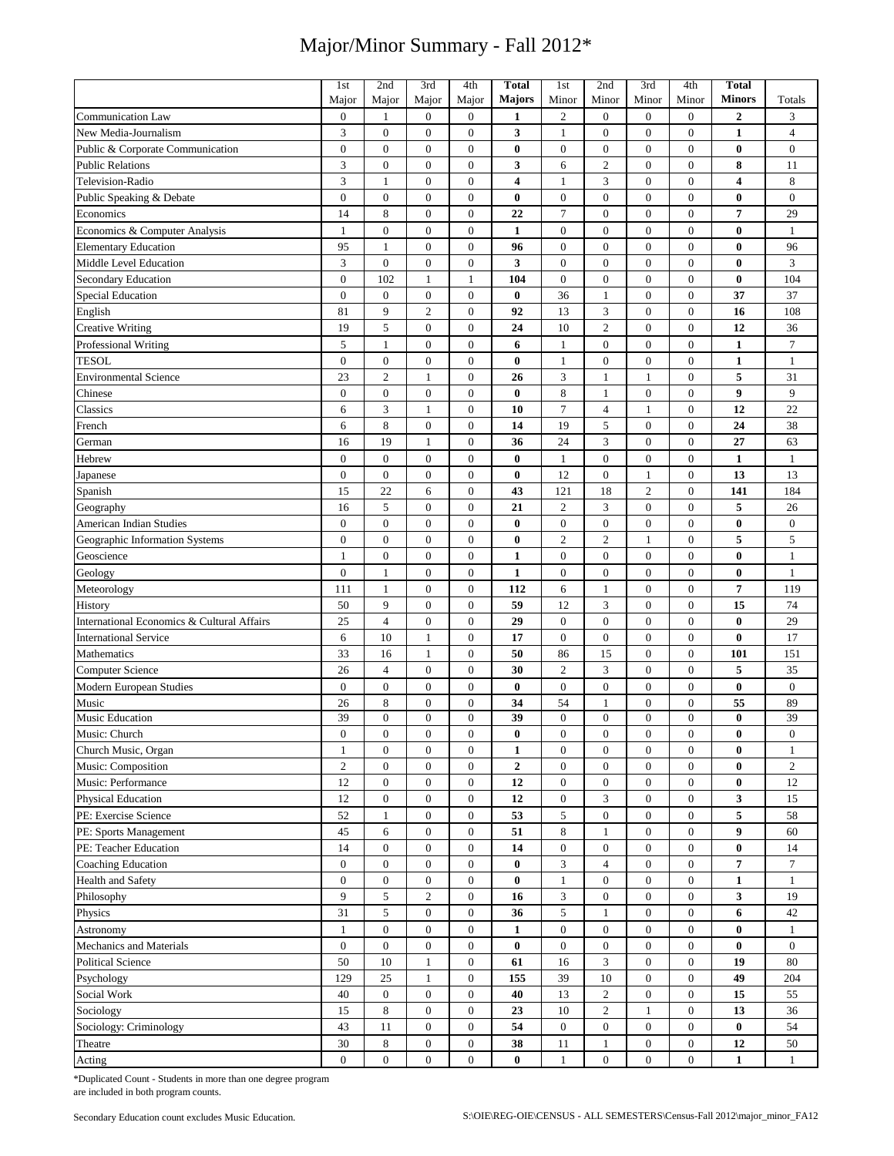|                                            | 1st              | 2nd               | 3rd                                  | 4th                                  | <b>Total</b>            | 1st                    | 2nd                              | 3rd                            | 4th                                  | Total                      |                  |
|--------------------------------------------|------------------|-------------------|--------------------------------------|--------------------------------------|-------------------------|------------------------|----------------------------------|--------------------------------|--------------------------------------|----------------------------|------------------|
|                                            | Major            | Major             | Major                                | Major                                | Majors                  | Minor                  | Minor                            | Minor                          | Minor                                | <b>Minors</b>              | Totals           |
| <b>Communication Law</b>                   | $\boldsymbol{0}$ | 1                 | $\boldsymbol{0}$                     | $\boldsymbol{0}$                     | 1                       | $\boldsymbol{2}$       | $\boldsymbol{0}$                 | $\overline{0}$                 | $\boldsymbol{0}$                     | 2                          | 3                |
| New Media-Journalism                       | 3                | $\mathbf{0}$      | $\mathbf{0}$                         | $\boldsymbol{0}$                     | 3                       | $\mathbf{1}$           | $\mathbf{0}$                     | $\mathbf{0}$                   | $\overline{0}$                       | 1                          | $\overline{4}$   |
| Public & Corporate Communication           | $\boldsymbol{0}$ | $\mathbf{0}$      | $\mathbf{0}$                         | $\boldsymbol{0}$                     | $\bf{0}$                | $\mathbf{0}$           | $\mathbf{0}$                     | $\mathbf{0}$                   | $\boldsymbol{0}$                     | $\bf{0}$                   | $\boldsymbol{0}$ |
| <b>Public Relations</b>                    | $\overline{3}$   | $\mathbf{0}$      | $\boldsymbol{0}$                     | $\boldsymbol{0}$                     | 3                       | 6                      | $\overline{c}$                   | $\overline{0}$                 | $\boldsymbol{0}$                     | 8                          | 11               |
| Television-Radio                           | 3                | $\mathbf{1}$      | $\mathbf{0}$                         | $\mathbf{0}$                         | $\overline{\mathbf{4}}$ | $\mathbf{1}$           | 3                                | $\mathbf{0}$                   | $\boldsymbol{0}$                     | 4                          | 8                |
| Public Speaking & Debate                   | $\boldsymbol{0}$ | $\boldsymbol{0}$  | $\mathbf{0}$                         | $\boldsymbol{0}$                     | $\bf{0}$                | $\boldsymbol{0}$       | $\boldsymbol{0}$                 | $\mathbf{0}$                   | $\boldsymbol{0}$                     | 0                          | $\boldsymbol{0}$ |
| Economics                                  | 14               | 8                 | $\mathbf{0}$                         | $\boldsymbol{0}$                     | 22                      | $\overline{7}$         | $\overline{0}$                   | $\mathbf{0}$                   | $\boldsymbol{0}$                     | 7                          | 29               |
| Economics & Computer Analysis              | $\mathbf{1}$     | $\boldsymbol{0}$  | $\boldsymbol{0}$                     | $\boldsymbol{0}$                     | $\mathbf{1}$            | $\mathbf{0}$           | $\mathbf{0}$                     | $\mathbf{0}$                   | $\boldsymbol{0}$                     | $\bf{0}$                   | $\mathbf{1}$     |
| <b>Elementary Education</b>                | 95               | $\mathbf{1}$      | $\mathbf{0}$                         | $\boldsymbol{0}$                     | 96                      | $\mathbf{0}$           | $\mathbf{0}$                     | $\mathbf{0}$                   | $\boldsymbol{0}$                     | 0                          | 96               |
| Middle Level Education                     | 3                | $\mathbf{0}$      | $\boldsymbol{0}$                     | $\boldsymbol{0}$                     | 3                       | $\mathbf{0}$           | $\boldsymbol{0}$                 | $\boldsymbol{0}$               | $\boldsymbol{0}$                     | $\bf{0}$                   | 3                |
| Secondary Education                        | $\boldsymbol{0}$ | 102               | $\mathbf{1}$                         | 1                                    | 104                     | $\mathbf{0}$           | $\boldsymbol{0}$                 | $\boldsymbol{0}$               | $\boldsymbol{0}$                     | $\bf{0}$                   | 104              |
| <b>Special Education</b>                   | $\boldsymbol{0}$ | $\boldsymbol{0}$  | $\boldsymbol{0}$                     | $\boldsymbol{0}$                     | $\bf{0}$                | 36                     | $\mathbf{1}$                     | $\mathbf{0}$                   | $\boldsymbol{0}$                     | 37                         | 37               |
| English                                    | 81               | 9                 | $\overline{2}$                       | $\boldsymbol{0}$                     | 92                      | 13                     | 3                                | $\mathbf{0}$                   | $\boldsymbol{0}$                     | 16                         | 108              |
| <b>Creative Writing</b>                    | 19               | 5                 | $\boldsymbol{0}$                     | $\boldsymbol{0}$                     | 24                      | 10                     | $\overline{2}$                   | $\boldsymbol{0}$               | $\boldsymbol{0}$                     | 12                         | 36               |
| Professional Writing                       | 5                | $\mathbf{1}$      | $\boldsymbol{0}$                     | $\boldsymbol{0}$                     | 6                       | $\mathbf{1}$           | $\boldsymbol{0}$                 | $\boldsymbol{0}$               | $\boldsymbol{0}$                     | $\mathbf{1}$               | $\overline{7}$   |
| <b>TESOL</b>                               | $\mathbf{0}$     | $\boldsymbol{0}$  | $\mathbf{0}$                         | $\boldsymbol{0}$                     | $\bf{0}$                | 1                      | $\boldsymbol{0}$                 | $\mathbf{0}$                   | $\boldsymbol{0}$                     | $\mathbf{1}$               | $\mathbf{1}$     |
| <b>Environmental Science</b>               | 23               | $\overline{c}$    | 1                                    | $\boldsymbol{0}$                     | 26                      | 3                      | 1                                | 1                              | $\boldsymbol{0}$                     | 5                          | 31               |
| Chinese                                    | $\overline{0}$   | $\overline{0}$    | $\boldsymbol{0}$                     | $\boldsymbol{0}$                     | $\bf{0}$                | 8                      | $\mathbf{1}$                     | $\mathbf{0}$                   | $\boldsymbol{0}$                     | 9                          | 9                |
| Classics                                   | 6                | 3                 | 1                                    | $\boldsymbol{0}$                     | 10                      | $\tau$                 | $\overline{4}$                   | 1                              | $\boldsymbol{0}$                     | 12                         | 22               |
| French                                     | 6                | 8                 | $\boldsymbol{0}$                     | $\boldsymbol{0}$                     | 14                      | 19                     | 5                                | $\mathbf{0}$                   | $\boldsymbol{0}$                     | 24                         | 38               |
| German                                     | 16               | 19                | $\mathbf{1}$                         | $\boldsymbol{0}$                     | 36                      | 24                     | 3                                | $\boldsymbol{0}$               | $\boldsymbol{0}$                     | 27                         | 63               |
| Hebrew                                     | $\boldsymbol{0}$ | $\boldsymbol{0}$  | $\boldsymbol{0}$                     | $\boldsymbol{0}$                     | $\bf{0}$                | $\mathbf{1}$           | $\boldsymbol{0}$                 | $\boldsymbol{0}$               | $\boldsymbol{0}$                     | $\mathbf{1}$               | $\mathbf{1}$     |
| Japanese                                   | $\mathbf{0}$     | $\mathbf{0}$      | $\mathbf{0}$                         | $\boldsymbol{0}$                     | $\bf{0}$                | 12                     | $\mathbf{0}$                     | $\mathbf{1}$                   | $\boldsymbol{0}$                     | 13                         | 13               |
| Spanish                                    | 15               | 22                | 6                                    | $\boldsymbol{0}$                     | 43                      | 121                    | 18                               | $\overline{c}$                 | $\boldsymbol{0}$                     | 141                        | 184              |
|                                            | 16               | 5                 | $\mathbf{0}$                         | $\boldsymbol{0}$                     | 21                      | $\mathfrak{2}$         | 3                                | $\mathbf{0}$                   | $\boldsymbol{0}$                     | 5                          | 26               |
| Geography<br>American Indian Studies       | $\boldsymbol{0}$ | $\mathbf{0}$      | $\boldsymbol{0}$                     | $\boldsymbol{0}$                     | $\bf{0}$                | $\boldsymbol{0}$       | $\boldsymbol{0}$                 | $\mathbf{0}$                   | $\boldsymbol{0}$                     | $\bf{0}$                   | $\boldsymbol{0}$ |
|                                            | $\overline{0}$   | $\mathbf{0}$      |                                      |                                      |                         | $\overline{2}$         | $\overline{2}$                   | $\mathbf{1}$                   | $\boldsymbol{0}$                     | 5                          | 5                |
| Geographic Information Systems             |                  | $\boldsymbol{0}$  | $\boldsymbol{0}$<br>$\boldsymbol{0}$ | $\boldsymbol{0}$<br>$\boldsymbol{0}$ | $\bf{0}$                | $\boldsymbol{0}$       | $\boldsymbol{0}$                 | $\boldsymbol{0}$               | $\boldsymbol{0}$                     |                            |                  |
| Geoscience                                 | $\mathbf{1}$     |                   |                                      |                                      | $\mathbf{1}$            |                        |                                  |                                |                                      | $\bf{0}$                   | $\mathbf{1}$     |
| Geology                                    | $\boldsymbol{0}$ | $\mathbf{1}$      | $\boldsymbol{0}$                     | $\boldsymbol{0}$                     | $\mathbf{1}$            | $\boldsymbol{0}$       | $\boldsymbol{0}$                 | $\boldsymbol{0}$               | $\boldsymbol{0}$                     | $\bf{0}$<br>$\overline{7}$ | $\mathbf{1}$     |
| Meteorology                                | 111              | $\mathbf{1}$      | $\boldsymbol{0}$                     | $\boldsymbol{0}$                     | 112                     | 6                      | $\mathbf{1}$                     | $\mathbf{0}$                   | $\boldsymbol{0}$                     |                            | 119              |
| History                                    | 50               | 9                 | $\boldsymbol{0}$                     | $\boldsymbol{0}$                     | 59                      | 12                     | 3                                | $\mathbf{0}$                   | $\boldsymbol{0}$                     | 15                         | 74               |
| International Economics & Cultural Affairs | 25               | $\overline{4}$    | $\mathbf{0}$                         | $\boldsymbol{0}$                     | 29<br>$\overline{17}$   | $\mathbf{0}$           | $\mathbf{0}$                     | $\mathbf{0}$                   | $\boldsymbol{0}$                     | $\bf{0}$                   | 29               |
| <b>International Service</b>               | 6                | 10                | $\mathbf{1}$                         | $\overline{0}$                       |                         | $\mathbf{0}$           | $\overline{0}$                   | $\overline{0}$                 | $\boldsymbol{0}$                     | $\bf{0}$                   | 17               |
| Mathematics                                | 33               | 16                | $\mathbf{1}$                         | $\boldsymbol{0}$                     | 50                      | 86                     | 15                               | $\mathbf{0}$                   | $\boldsymbol{0}$                     | 101                        | 151              |
| <b>Computer Science</b>                    | 26               | $\overline{4}$    | $\boldsymbol{0}$                     | $\boldsymbol{0}$                     | 30                      | $\overline{2}$         | 3                                | $\boldsymbol{0}$               | $\boldsymbol{0}$                     | 5                          | 35               |
| Modern European Studies                    | $\boldsymbol{0}$ | $\boldsymbol{0}$  | $\boldsymbol{0}$                     | $\boldsymbol{0}$                     | $\bf{0}$                | $\boldsymbol{0}$       | $\boldsymbol{0}$                 | $\mathbf{0}$                   | $\boldsymbol{0}$                     | $\bf{0}$                   | $\boldsymbol{0}$ |
| Music                                      | 26<br>39         | 8<br>$\mathbf{0}$ | $\boldsymbol{0}$<br>$\boldsymbol{0}$ | $\boldsymbol{0}$<br>$\boldsymbol{0}$ | 34<br>39                | 54<br>$\boldsymbol{0}$ | $\mathbf{1}$<br>$\boldsymbol{0}$ | $\mathbf{0}$<br>$\overline{0}$ | $\boldsymbol{0}$<br>$\boldsymbol{0}$ | 55<br>$\bf{0}$             | 89<br>39         |
| Music Education<br>Music: Church           |                  |                   |                                      | $\boldsymbol{0}$                     |                         |                        | $\boldsymbol{0}$                 |                                | $\mathbf{0}$                         |                            |                  |
|                                            | $\boldsymbol{0}$ | $\boldsymbol{0}$  | $\boldsymbol{0}$                     |                                      | $\bf{0}$                | $\boldsymbol{0}$       |                                  | $\boldsymbol{0}$               |                                      | 0                          | $\boldsymbol{0}$ |
| Church Music, Organ                        | $\mathbf{1}$     | $\boldsymbol{0}$  | $\boldsymbol{0}$                     | $\mathbf{0}$                         | $\mathbf{1}$            | $\mathbf{0}$           | $\boldsymbol{0}$                 | $\boldsymbol{0}$               | $\boldsymbol{0}$                     | $\bf{0}$                   | $\mathbf{1}$     |
| Music: Composition                         | $\overline{c}$   | $\mathbf{0}$      | $\boldsymbol{0}$                     | $\overline{0}$                       | $\overline{2}$          | $\mathbf{0}$           | $\mathbf{0}$                     | $\boldsymbol{0}$               | $\mathbf{0}$                         | $\bf{0}$                   | $\overline{c}$   |
| Music: Performance                         | 12               | $\mathbf{0}$      | $\boldsymbol{0}$                     | $\mathbf{0}$                         | 12                      | $\mathbf{0}$           | $\mathbf{0}$                     | $\boldsymbol{0}$               | $\boldsymbol{0}$                     | $\bf{0}$                   | 12               |
| <b>Physical Education</b>                  | 12               | $\boldsymbol{0}$  | $\boldsymbol{0}$                     | $\boldsymbol{0}$                     | 12                      | $\boldsymbol{0}$       | $\mathfrak{Z}$                   | $\boldsymbol{0}$               | $\boldsymbol{0}$                     | 3                          | 15               |
| PE: Exercise Science                       | 52               | $\mathbf{1}$      | $\boldsymbol{0}$                     | $\boldsymbol{0}$                     | 53                      | $\sqrt{5}$             | $\boldsymbol{0}$                 | $\boldsymbol{0}$               | $\boldsymbol{0}$                     | 5                          | 58               |
| PE: Sports Management                      | 45               | 6                 | $\boldsymbol{0}$                     | $\mathbf{0}$                         | 51                      | $\,8\,$                | $\mathbf{1}$                     | $\boldsymbol{0}$               | $\boldsymbol{0}$                     | 9                          | 60               |
| PE: Teacher Education                      | 14               | $\boldsymbol{0}$  | $\boldsymbol{0}$                     | $\boldsymbol{0}$                     | 14                      | $\boldsymbol{0}$       | $\boldsymbol{0}$                 | $\overline{0}$                 | $\overline{0}$                       | $\bf{0}$                   | 14               |
| <b>Coaching Education</b>                  | $\boldsymbol{0}$ | $\boldsymbol{0}$  | $\boldsymbol{0}$                     | $\mathbf{0}$                         | $\bf{0}$                | 3                      | $\overline{4}$                   | $\boldsymbol{0}$               | $\boldsymbol{0}$                     | $\overline{7}$             | $\tau$           |
| Health and Safety                          | $\boldsymbol{0}$ | $\mathbf{0}$      | $\boldsymbol{0}$                     | $\boldsymbol{0}$                     | $\bf{0}$                | $\mathbf{1}$           | $\boldsymbol{0}$                 | $\overline{0}$                 | $\boldsymbol{0}$                     | $\mathbf{1}$               | $\mathbf{1}$     |
| Philosophy                                 | 9                | 5                 | $\mathbf{2}$                         | $\mathbf{0}$                         | 16                      | $\mathfrak{Z}$         | $\mathbf{0}$                     | $\boldsymbol{0}$               | $\mathbf{0}$                         | 3                          | 19               |
| Physics                                    | 31               | 5                 | $\boldsymbol{0}$                     | $\boldsymbol{0}$                     | 36                      | 5                      | $\mathbf{1}$                     | $\boldsymbol{0}$               | 0                                    | 6                          | 42               |
| Astronomy                                  | $\mathbf{1}$     | $\boldsymbol{0}$  | $\boldsymbol{0}$                     | $\mathbf{0}$                         | $\mathbf{1}$            | $\boldsymbol{0}$       | $\boldsymbol{0}$                 | $\boldsymbol{0}$               | $\boldsymbol{0}$                     | $\bf{0}$                   | $\mathbf{1}$     |
| Mechanics and Materials                    | $\boldsymbol{0}$ | $\mathbf{0}$      | $\boldsymbol{0}$                     | $\mathbf{0}$                         | $\bf{0}$                | $\mathbf{0}$           | $\mathbf{0}$                     | $\boldsymbol{0}$               | $\boldsymbol{0}$                     | $\bf{0}$                   | $\mathbf{0}$     |
| <b>Political Science</b>                   | 50               | 10                | $\mathbf{1}$                         | $\boldsymbol{0}$                     | 61                      | 16                     | 3                                | $\overline{0}$                 | $\boldsymbol{0}$                     | 19                         | 80               |
| Psychology                                 | 129              | 25                | $\mathbf{1}$                         | $\boldsymbol{0}$                     | 155                     | 39                     | $10\,$                           | $\boldsymbol{0}$               | $\boldsymbol{0}$                     | 49                         | 204              |
| Social Work                                | 40               | $\mathbf{0}$      | $\boldsymbol{0}$                     | $\mathbf{0}$                         | 40                      | 13                     | $\overline{c}$                   | $\overline{0}$                 | $\boldsymbol{0}$                     | 15                         | 55               |
| Sociology                                  | 15               | 8                 | $\boldsymbol{0}$                     | $\boldsymbol{0}$                     | 23                      | 10                     | $\boldsymbol{2}$                 | 1                              | $\boldsymbol{0}$                     | 13                         | 36               |
| Sociology: Criminology                     | 43               | 11                | $\boldsymbol{0}$                     | $\boldsymbol{0}$                     | 54                      | $\overline{0}$         | $\overline{0}$                   | $\boldsymbol{0}$               | 0                                    | $\bf{0}$                   | 54               |
| Theatre                                    | 30               | 8                 | $\boldsymbol{0}$                     | $\boldsymbol{0}$                     | 38                      | 11                     | $\mathbf{1}$                     | $\boldsymbol{0}$               | 0                                    | 12                         | 50               |
| Acting                                     | $\boldsymbol{0}$ | $\boldsymbol{0}$  | $\boldsymbol{0}$                     | $\mathbf{0}$                         | $\bf{0}$                | $\mathbf{1}$           | $\mathbf{0}$                     | $\boldsymbol{0}$               | $\boldsymbol{0}$                     | $\mathbf{1}$               | $\mathbf{1}$     |